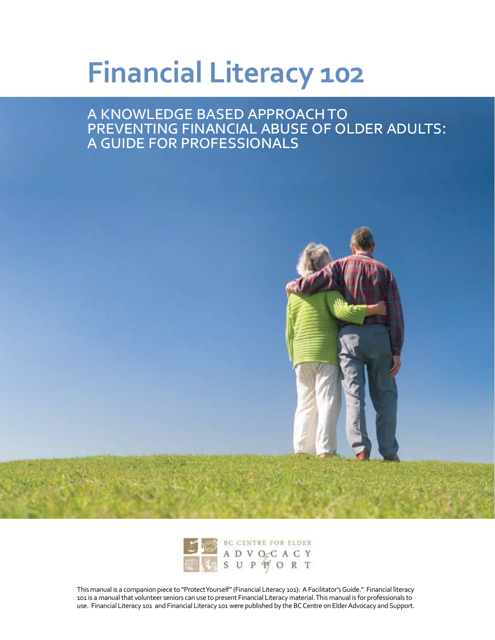# **Financial Literacy 102**

a knowledge based approach to preventing financial abuse of older adults: a guide for professionals





This manual is a companion piece to "Protect Yourself" (Financial Literacy 101): A Facilitator's Guide." Financial literacy 101 is a manual that volunteer seniors can use to present Financial Literacy material. This manual is for professionals to use. Financial Literacy 101 and Financial Literacy 101 were published by the BC Centre on Elder Advocacy and Support.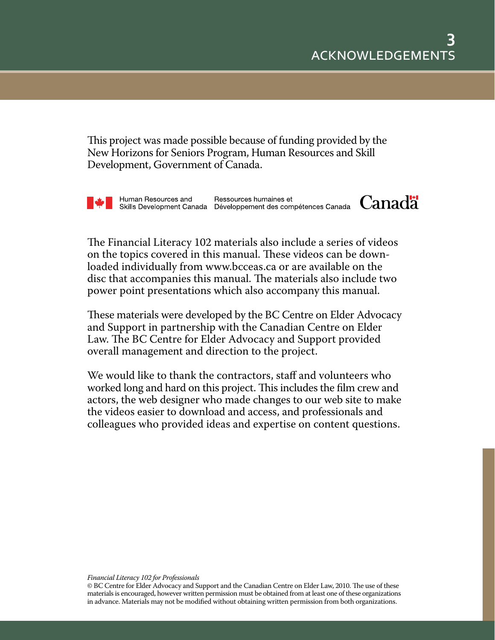This project was made possible because of funding provided by the New Horizons for Seniors Program, Human Resources and Skill Development, Government of Canada.

Human Resources and Ressources humaines et<br>Skills Development Canada Développement des compétences Canada Canada

The Financial Literacy 102 materials also include a series of videos on the topics covered in this manual. These videos can be downloaded individually from www.bcceas.ca or are available on the disc that accompanies this manual. The materials also include two power point presentations which also accompany this manual.

These materials were developed by the BC Centre on Elder Advocacy and Support in partnership with the Canadian Centre on Elder Law. The BC Centre for Elder Advocacy and Support provided overall management and direction to the project.

We would like to thank the contractors, staff and volunteers who worked long and hard on this project. This includes the film crew and actors, the web designer who made changes to our web site to make the videos easier to download and access, and professionals and colleagues who provided ideas and expertise on content questions.

<sup>©</sup> BC Centre for Elder Advocacy and Support and the Canadian Centre on Elder Law, 2010. The use of these materials is encouraged, however written permission must be obtained from at least one of these organizations in advance. Materials may not be modified without obtaining written permission from both organizations.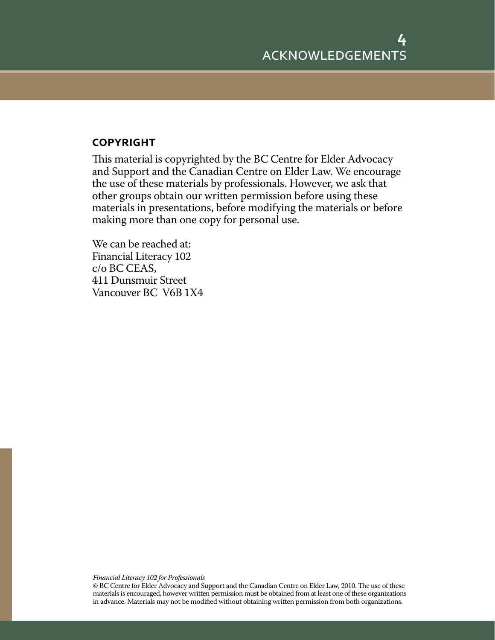### **copyright**

This material is copyrighted by the BC Centre for Elder Advocacy and Support and the Canadian Centre on Elder Law. We encourage the use of these materials by professionals. However, we ask that other groups obtain our written permission before using these materials in presentations, before modifying the materials or before making more than one copy for personal use.

We can be reached at: Financial Literacy 102 c/o BC CEAS, 411 Dunsmuir Street Vancouver BC V6B 1X4

*Financial Literacy 102 for Professionals*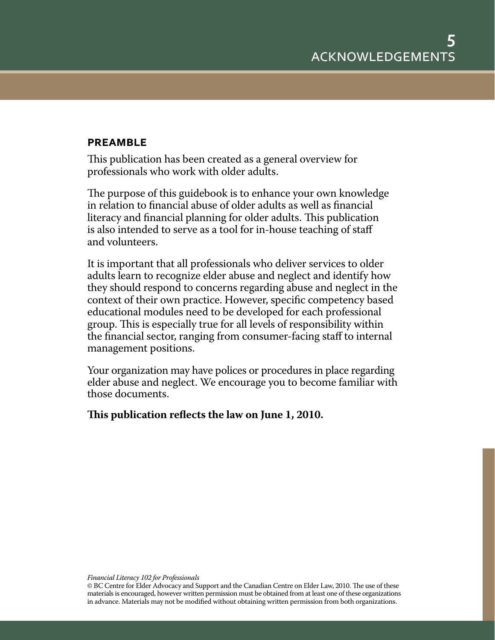### **preamble**

This publication has been created as a general overview for professionals who work with older adults.

The purpose of this guidebook is to enhance your own knowledge in relation to financial abuse of older adults as well as financial literacy and financial planning for older adults. This publication is also intended to serve as a tool for in-house teaching of staff and volunteers.

It is important that all professionals who deliver services to older adults learn to recognize elder abuse and neglect and identify how they should respond to concerns regarding abuse and neglect in the context of their own practice. However, specific competency based educational modules need to be developed for each professional group. This is especially true for all levels of responsibility within the financial sector, ranging from consumer-facing staff to internal management positions.

Your organization may have polices or procedures in place regarding elder abuse and neglect. We encourage you to become familiar with those documents.

**This publication reflects the law on June 1, 2010.**

<sup>©</sup> BC Centre for Elder Advocacy and Support and the Canadian Centre on Elder Law, 2010. The use of these materials is encouraged, however written permission must be obtained from at least one of these organizations in advance. Materials may not be modified without obtaining written permission from both organizations.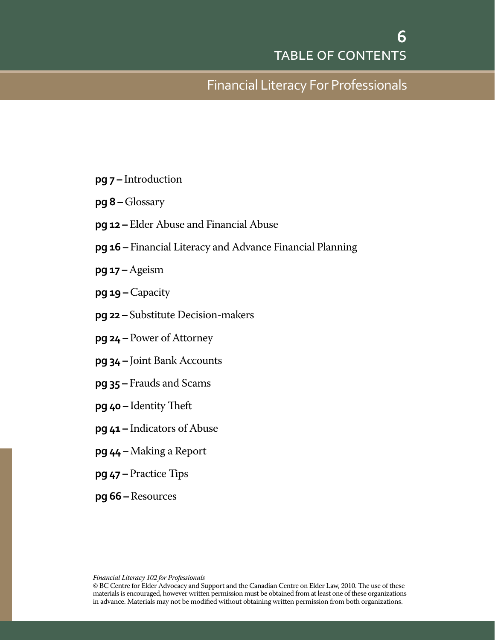## Financial Literacy For Professionals

- **pg 7** Introduction
- **pg 8** Glossary
- **pg 12** Elder Abuse and Financial Abuse
- **pg 16** Financial Literacy and Advance Financial Planning
- **pg 17** Ageism
- **pg 19** Capacity
- **pg 22** Substitute Decision-makers
- **pg 24** Power of Attorney
- **pg 34** Joint Bank Accounts
- **pg 35** Frauds and Scams
- **pg 40** Identity Theft
- **pg 41** Indicators of Abuse
- **pg 44** Making a Report
- **pg 47** Practice Tips
- **pg 66** Resources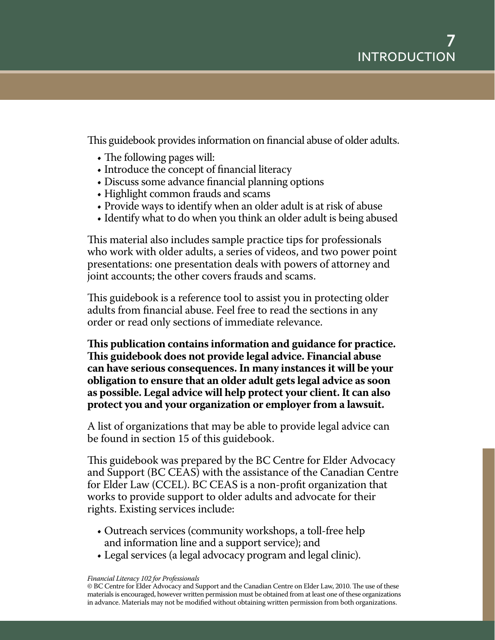This guidebook provides information on financial abuse of older adults.

- The following pages will:
- Introduce the concept of financial literacy
- Discuss some advance financial planning options
- Highlight common frauds and scams
- Provide ways to identify when an older adult is at risk of abuse
- Identify what to do when you think an older adult is being abused

This material also includes sample practice tips for professionals who work with older adults, a series of videos, and two power point presentations: one presentation deals with powers of attorney and joint accounts; the other covers frauds and scams.

This guidebook is a reference tool to assist you in protecting older adults from financial abuse. Feel free to read the sections in any order or read only sections of immediate relevance.

**This publication contains information and guidance for practice. This guidebook does not provide legal advice. Financial abuse can have serious consequences. In many instances it will be your obligation to ensure that an older adult gets legal advice as soon as possible. Legal advice will help protect your client. It can also protect you and your organization or employer from a lawsuit.**

A list of organizations that may be able to provide legal advice can be found in section 15 of this guidebook.

This guidebook was prepared by the BC Centre for Elder Advocacy and Support (BC CEAS) with the assistance of the Canadian Centre for Elder Law (CCEL). BC CEAS is a non-profit organization that works to provide support to older adults and advocate for their rights. Existing services include:

- Outreach services (community workshops, a toll-free help and information line and a support service); and
- Legal services (a legal advocacy program and legal clinic).

#### *Financial Literacy 102 for Professionals*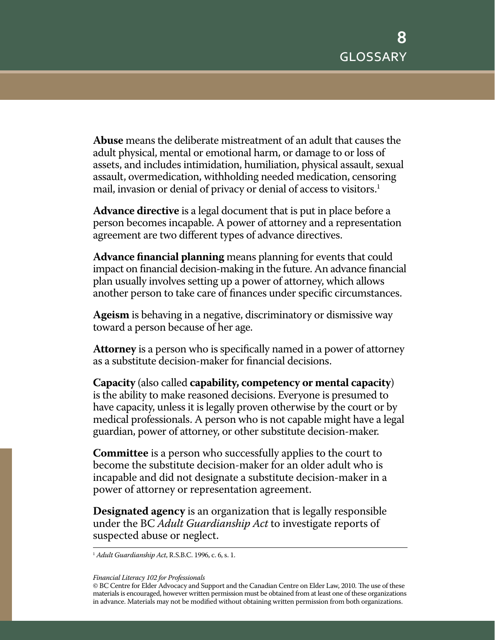**Abuse** means the deliberate mistreatment of an adult that causes the adult physical, mental or emotional harm, or damage to or loss of assets, and includes intimidation, humiliation, physical assault, sexual assault, overmedication, withholding needed medication, censoring mail, invasion or denial of privacy or denial of access to visitors.<sup>1</sup>

**Advance directive** is a legal document that is put in place before a person becomes incapable. A power of attorney and a representation agreement are two different types of advance directives.

**Advance financial planning** means planning for events that could impact on financial decision-making in the future. An advance financial plan usually involves setting up a power of attorney, which allows another person to take care of finances under specific circumstances.

**Ageism** is behaving in a negative, discriminatory or dismissive way toward a person because of her age.

**Attorney** is a person who is specifically named in a power of attorney as a substitute decision-maker for financial decisions.

**Capacity** (also called **capability, competency or mental capacity**) is the ability to make reasoned decisions. Everyone is presumed to have capacity, unless it is legally proven otherwise by the court or by medical professionals. A person who is not capable might have a legal guardian, power of attorney, or other substitute decision-maker.

**Committee** is a person who successfully applies to the court to become the substitute decision-maker for an older adult who is incapable and did not designate a substitute decision-maker in a power of attorney or representation agreement.

**Designated agency** is an organization that is legally responsible under the BC *Adult Guardianship Act* to investigate reports of suspected abuse or neglect.

<sup>1</sup> *Adult Guardianship Act*, R.S.B.C. 1996, c. 6, s. 1.

<sup>©</sup> BC Centre for Elder Advocacy and Support and the Canadian Centre on Elder Law, 2010. The use of these materials is encouraged, however written permission must be obtained from at least one of these organizations in advance. Materials may not be modified without obtaining written permission from both organizations.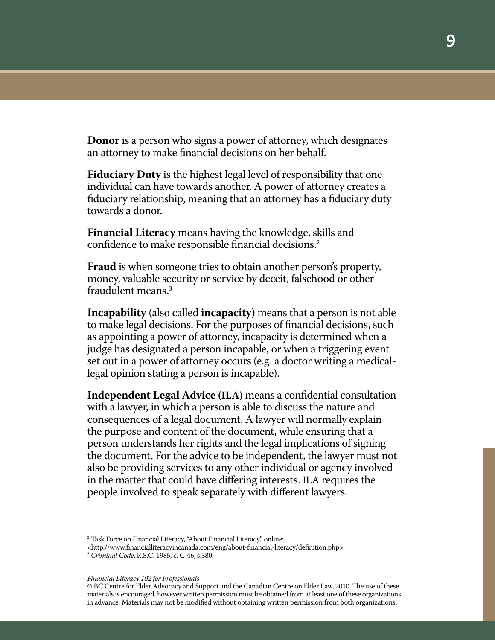**Donor** is a person who signs a power of attorney, which designates an attorney to make financial decisions on her behalf.

**Fiduciary Duty** is the highest legal level of responsibility that one individual can have towards another. A power of attorney creates a fiduciary relationship, meaning that an attorney has a fiduciary duty towards a donor.

**Financial Literacy** means having the knowledge, skills and confidence to make responsible financial decisions.2

**Fraud** is when someone tries to obtain another person's property, money, valuable security or service by deceit, falsehood or other fraudulent means.3

**Incapability** (also called **incapacity)** means that a person is not able to make legal decisions. For the purposes of financial decisions, such as appointing a power of attorney, incapacity is determined when a judge has designated a person incapable, or when a triggering event set out in a power of attorney occurs (e.g. a doctor writing a medicallegal opinion stating a person is incapable).

**Independent Legal Advice (ILA)** means a confidential consultation with a lawyer, in which a person is able to discuss the nature and consequences of a legal document. A lawyer will normally explain the purpose and content of the document, while ensuring that a person understands her rights and the legal implications of signing the document. For the advice to be independent, the lawyer must not also be providing services to any other individual or agency involved in the matter that could have differing interests. ILA requires the people involved to speak separately with different lawyers.

<sup>2</sup> Task Force on Financial Literacy, "About Financial Literacy," online:

<sup>&</sup>lt;http://www.financialliteracyincanada.com/eng/about-financial-literacy/definition.php>.

<sup>3</sup> *Criminal Code*, R.S.C. 1985, c. C-46, s.380.

<sup>©</sup> BC Centre for Elder Advocacy and Support and the Canadian Centre on Elder Law, 2010. The use of these materials is encouraged, however written permission must be obtained from at least one of these organizations in advance. Materials may not be modified without obtaining written permission from both organizations.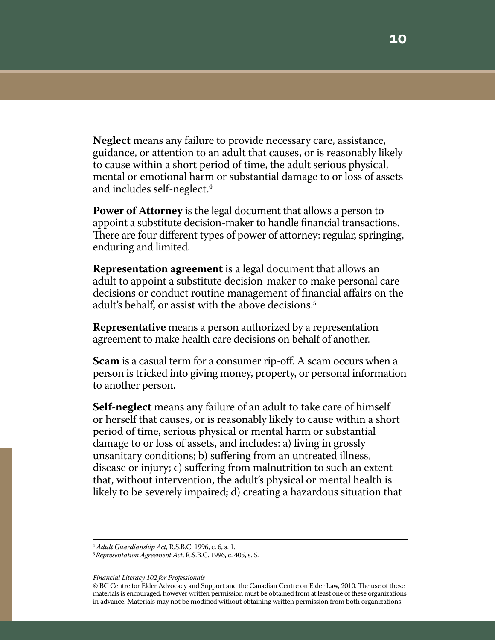**Neglect** means any failure to provide necessary care, assistance, guidance, or attention to an adult that causes, or is reasonably likely to cause within a short period of time, the adult serious physical, mental or emotional harm or substantial damage to or loss of assets and includes self-neglect.4

**Power of Attorney** is the legal document that allows a person to appoint a substitute decision-maker to handle financial transactions. There are four different types of power of attorney: regular, springing, enduring and limited.

**Representation agreement** is a legal document that allows an adult to appoint a substitute decision-maker to make personal care decisions or conduct routine management of financial affairs on the adult's behalf, or assist with the above decisions.<sup>5</sup>

**Representative** means a person authorized by a representation agreement to make health care decisions on behalf of another.

**Scam** is a casual term for a consumer rip-off. A scam occurs when a person is tricked into giving money, property, or personal information to another person.

**Self-neglect** means any failure of an adult to take care of himself or herself that causes, or is reasonably likely to cause within a short period of time, serious physical or mental harm or substantial damage to or loss of assets, and includes: a) living in grossly unsanitary conditions; b) suffering from an untreated illness, disease or injury; c) suffering from malnutrition to such an extent that, without intervention, the adult's physical or mental health is likely to be severely impaired; d) creating a hazardous situation that

<sup>4</sup> *Adult Guardianship Act*, R.S.B.C. 1996, c. 6, s. 1.

<sup>5</sup> *Representation Agreement Act*, R.S.B.C. 1996, c. 405, s. 5.

<sup>©</sup> BC Centre for Elder Advocacy and Support and the Canadian Centre on Elder Law, 2010. The use of these materials is encouraged, however written permission must be obtained from at least one of these organizations in advance. Materials may not be modified without obtaining written permission from both organizations.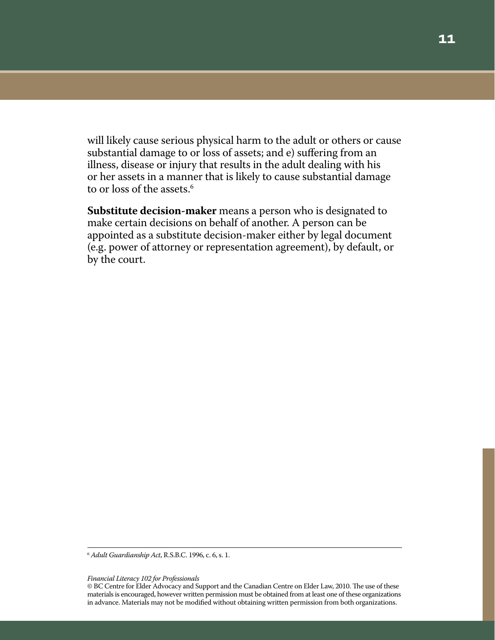will likely cause serious physical harm to the adult or others or cause substantial damage to or loss of assets; and e) suffering from an illness, disease or injury that results in the adult dealing with his or her assets in a manner that is likely to cause substantial damage to or loss of the assets.<sup>6</sup>

**Substitute decision-maker** means a person who is designated to make certain decisions on behalf of another. A person can be appointed as a substitute decision-maker either by legal document (e.g. power of attorney or representation agreement), by default, or by the court.

<sup>6</sup> *Adult Guardianship Act*, R.S.B.C. 1996, c. 6, s. 1.

<sup>©</sup> BC Centre for Elder Advocacy and Support and the Canadian Centre on Elder Law, 2010. The use of these materials is encouraged, however written permission must be obtained from at least one of these organizations in advance. Materials may not be modified without obtaining written permission from both organizations.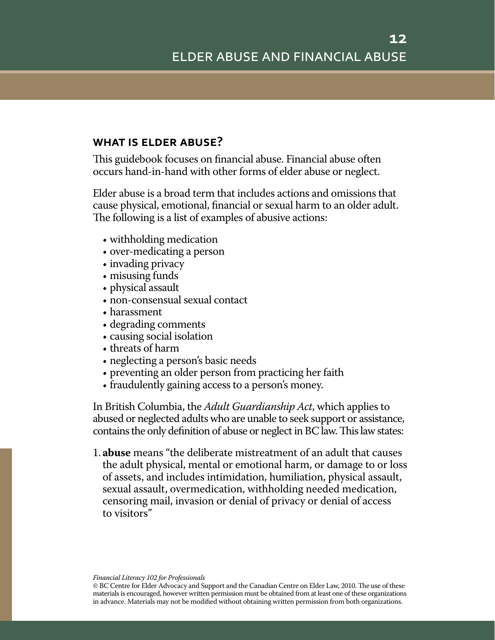### **what is elder abuse?**

This guidebook focuses on financial abuse. Financial abuse often occurs hand-in-hand with other forms of elder abuse or neglect.

Elder abuse is a broad term that includes actions and omissions that cause physical, emotional, financial or sexual harm to an older adult. The following is a list of examples of abusive actions:

- withholding medication
- over-medicating a person
- invading privacy
- misusing funds
- physical assault
- non-consensual sexual contact
- harassment
- • degrading comments
- causing social isolation
- threats of harm
- neglecting a person's basic needs
- preventing an older person from practicing her faith
- fraudulently gaining access to a person's money.

In British Columbia, the *Adult Guardianship Act*, which applies to abused or neglected adults who are unable to seek support or assistance, contains the only definition of abuse or neglect in BC law. This law states:

1. **abuse** means "the deliberate mistreatment of an adult that causes the adult physical, mental or emotional harm, or damage to or loss of assets, and includes intimidation, humiliation, physical assault, sexual assault, overmedication, withholding needed medication, censoring mail, invasion or denial of privacy or denial of access to visitors"

© BC Centre for Elder Advocacy and Support and the Canadian Centre on Elder Law, 2010. The use of these materials is encouraged, however written permission must be obtained from at least one of these organizations in advance. Materials may not be modified without obtaining written permission from both organizations.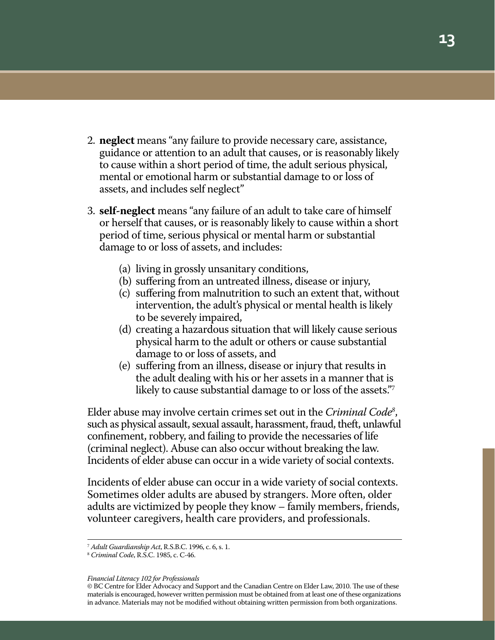- 2. **neglect** means "any failure to provide necessary care, assistance, guidance or attention to an adult that causes, or is reasonably likely to cause within a short period of time, the adult serious physical, mental or emotional harm or substantial damage to or loss of assets, and includes self neglect"
- 3. **self-neglect** means "any failure of an adult to take care of himself or herself that causes, or is reasonably likely to cause within a short period of time, serious physical or mental harm or substantial damage to or loss of assets, and includes:
	- (a) living in grossly unsanitary conditions,
	- (b) suffering from an untreated illness, disease or injury,
	- (c) suffering from malnutrition to such an extent that, without intervention, the adult's physical or mental health is likely to be severely impaired,
	- (d) creating a hazardous situation that will likely cause serious physical harm to the adult or others or cause substantial damage to or loss of assets, and
	- (e) suffering from an illness, disease or injury that results in the adult dealing with his or her assets in a manner that is likely to cause substantial damage to or loss of the assets."

Elder abuse may involve certain crimes set out in the *Criminal Code8* , such as physical assault, sexual assault, harassment, fraud, theft, unlawful confinement, robbery, and failing to provide the necessaries of life (criminal neglect). Abuse can also occur without breaking the law. Incidents of elder abuse can occur in a wide variety of social contexts.

Incidents of elder abuse can occur in a wide variety of social contexts. Sometimes older adults are abused by strangers. More often, older adults are victimized by people they know – family members, friends, volunteer caregivers, health care providers, and professionals.

*Financial Literacy 102 for Professionals*

<sup>7</sup> *Adult Guardianship Act*, R.S.B.C. 1996, c. 6, s. 1. 8 *Criminal Code*, R.S.C. 1985, c. C-46.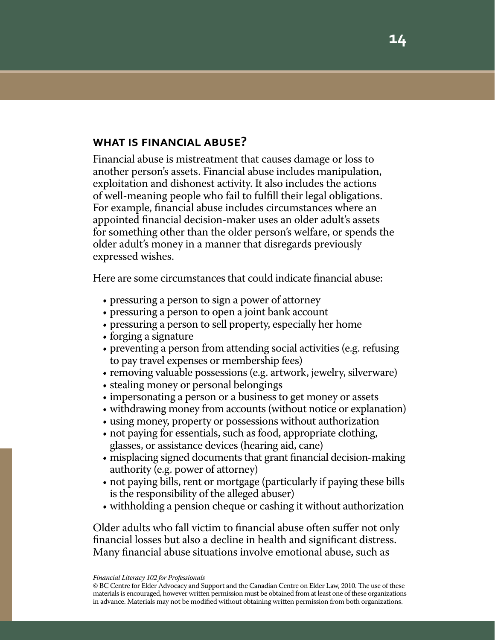### **what is financial abuse?**

Financial abuse is mistreatment that causes damage or loss to another person's assets. Financial abuse includes manipulation, exploitation and dishonest activity. It also includes the actions of well-meaning people who fail to fulfill their legal obligations. For example, financial abuse includes circumstances where an appointed financial decision-maker uses an older adult's assets for something other than the older person's welfare, or spends the older adult's money in a manner that disregards previously expressed wishes.

Here are some circumstances that could indicate financial abuse:

- pressuring a person to sign a power of attorney
- • pressuring a person to open a joint bank account
- pressuring a person to sell property, especially her home
- forging a signature
- preventing a person from attending social activities (e.g. refusing to pay travel expenses or membership fees)
- removing valuable possessions (e.g. artwork, jewelry, silverware)
- stealing money or personal belongings
- impersonating a person or a business to get money or assets
- withdrawing money from accounts (without notice or explanation)
- using money, property or possessions without authorization
- not paying for essentials, such as food, appropriate clothing, glasses, or assistance devices (hearing aid, cane)
- • misplacing signed documents that grant financial decision-making authority (e.g. power of attorney)
- not paying bills, rent or mortgage (particularly if paying these bills is the responsibility of the alleged abuser)
- • withholding a pension cheque or cashing it without authorization

Older adults who fall victim to financial abuse often suffer not only financial losses but also a decline in health and significant distress. Many financial abuse situations involve emotional abuse, such as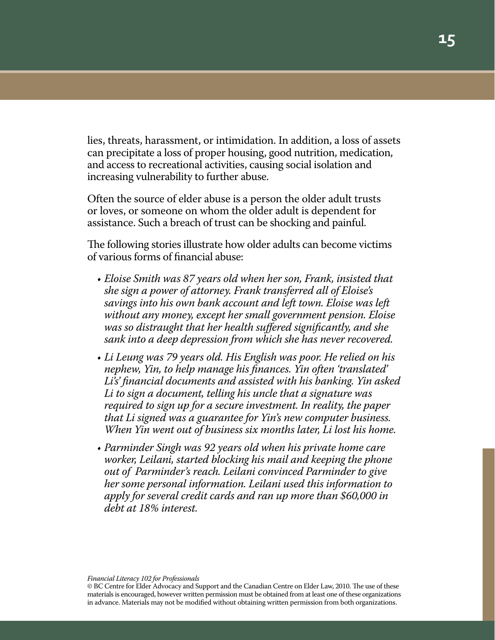lies, threats, harassment, or intimidation. In addition, a loss of assets can precipitate a loss of proper housing, good nutrition, medication, and access to recreational activities, causing social isolation and increasing vulnerability to further abuse.

Often the source of elder abuse is a person the older adult trusts or loves, or someone on whom the older adult is dependent for assistance. Such a breach of trust can be shocking and painful.

The following stories illustrate how older adults can become victims of various forms of financial abuse:

- *• Eloise Smith was 87 years old when her son, Frank, insisted that she sign a power of attorney. Frank transferred all of Eloise's savings into his own bank account and left town. Eloise was left without any money, except her small government pension. Eloise was so distraught that her health suffered significantly, and she sank into a deep depression from which she has never recovered.*
- *• Li Leung was 79 years old. His English was poor. He relied on his nephew, Yin, to help manage his finances. Yin often 'translated' Li's' financial documents and assisted with his banking. Yin asked Li to sign a document, telling his uncle that a signature was required to sign up for a secure investment. In reality, the paper that Li signed was a guarantee for Yin's new computer business. When Yin went out of business six months later, Li lost his home.*
- *• Parminder Singh was 92 years old when his private home care worker, Leilani, started blocking his mail and keeping the phone out of Parminder's reach. Leilani convinced Parminder to give her some personal information. Leilani used this information to apply for several credit cards and ran up more than \$60,000 in debt at 18% interest.*

© BC Centre for Elder Advocacy and Support and the Canadian Centre on Elder Law, 2010. The use of these materials is encouraged, however written permission must be obtained from at least one of these organizations in advance. Materials may not be modified without obtaining written permission from both organizations.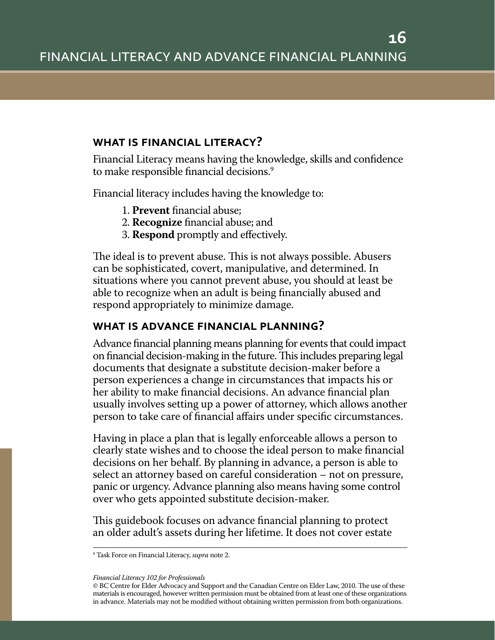### **what is financial literacy?**

Financial Literacy means having the knowledge, skills and confidence to make responsible financial decisions.<sup>9</sup>

Financial literacy includes having the knowledge to:

- 1. **Prevent** financial abuse;
- 2. **Recognize** financial abuse; and
- 3. **Respond** promptly and effectively.

The ideal is to prevent abuse. This is not always possible. Abusers can be sophisticated, covert, manipulative, and determined. In situations where you cannot prevent abuse, you should at least be able to recognize when an adult is being financially abused and respond appropriately to minimize damage.

### **what is advance financial planning?**

Advance financial planning means planning for events that could impact on financial decision-making in the future. This includes preparing legal documents that designate a substitute decision-maker before a person experiences a change in circumstances that impacts his or her ability to make financial decisions. An advance financial plan usually involves setting up a power of attorney, which allows another person to take care of financial affairs under specific circumstances.

Having in place a plan that is legally enforceable allows a person to clearly state wishes and to choose the ideal person to make financial decisions on her behalf. By planning in advance, a person is able to select an attorney based on careful consideration – not on pressure, panic or urgency. Advance planning also means having some control over who gets appointed substitute decision-maker.

This guidebook focuses on advance financial planning to protect an older adult's assets during her lifetime. It does not cover estate

<sup>9</sup> Task Force on Financial Literacy, *supra* note 2.

<sup>©</sup> BC Centre for Elder Advocacy and Support and the Canadian Centre on Elder Law, 2010. The use of these materials is encouraged, however written permission must be obtained from at least one of these organizations in advance. Materials may not be modified without obtaining written permission from both organizations.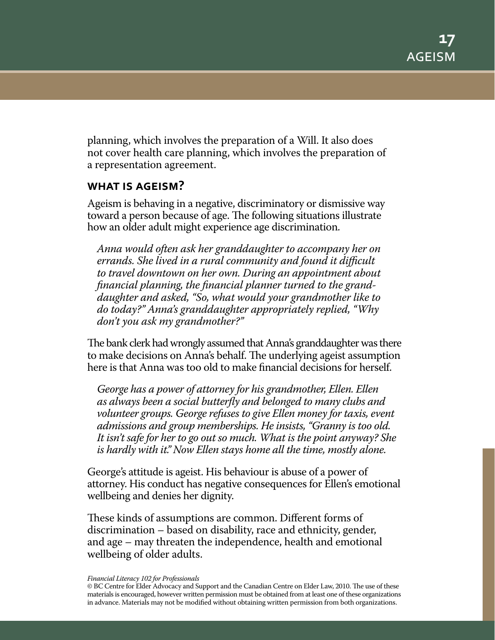planning, which involves the preparation of a Will. It also does not cover health care planning, which involves the preparation of a representation agreement.

### **what is ageism?**

Ageism is behaving in a negative, discriminatory or dismissive way toward a person because of age. The following situations illustrate how an older adult might experience age discrimination.

*Anna would often ask her granddaughter to accompany her on errands. She lived in a rural community and found it difficult to travel downtown on her own. During an appointment about financial planning, the financial planner turned to the granddaughter and asked, "So, what would your grandmother like to do today?" Anna's granddaughter appropriately replied, "Why don't you ask my grandmother?"*

The bank clerk had wrongly assumed that Anna's granddaughter was there to make decisions on Anna's behalf. The underlying ageist assumption here is that Anna was too old to make financial decisions for herself.

*George has a power of attorney for his grandmother, Ellen. Ellen as always been a social butterfly and belonged to many clubs and volunteer groups. George refuses to give Ellen money for taxis, event admissions and group memberships. He insists, "Granny is too old. It isn't safe for her to go out so much. What is the point anyway? She is hardly with it." Now Ellen stays home all the time, mostly alone.*

George's attitude is ageist. His behaviour is abuse of a power of attorney. His conduct has negative consequences for Ellen's emotional wellbeing and denies her dignity.

These kinds of assumptions are common. Different forms of discrimination – based on disability, race and ethnicity, gender, and age – may threaten the independence, health and emotional wellbeing of older adults.

*Financial Literacy 102 for Professionals*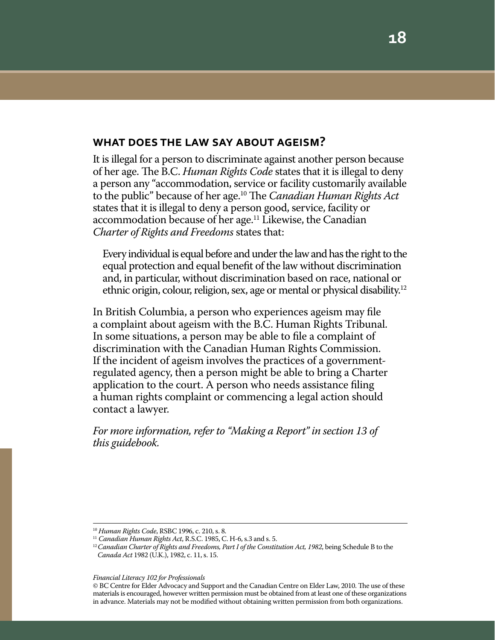### **what does the law say about ageism?**

It is illegal for a person to discriminate against another person because of her age. The B.C. *Human Rights Code* states that it is illegal to deny a person any "accommodation, service or facility customarily available to the public" because of her age.10 The *Canadian Human Rights Act* states that it is illegal to deny a person good, service, facility or accommodation because of her age.<sup>11</sup> Likewise, the Canadian *Charter of Rights and Freedoms* states that:

Every individual is equal before and under the law and has the right to the equal protection and equal benefit of the law without discrimination and, in particular, without discrimination based on race, national or ethnic origin, colour, religion, sex, age or mental or physical disability.12

In British Columbia, a person who experiences ageism may file a complaint about ageism with the B.C. Human Rights Tribunal. In some situations, a person may be able to file a complaint of discrimination with the Canadian Human Rights Commission. If the incident of ageism involves the practices of a governmentregulated agency, then a person might be able to bring a Charter application to the court. A person who needs assistance filing a human rights complaint or commencing a legal action should contact a lawyer.

*For more information, refer to "Making a Report" in section 13 of this guidebook.*

<sup>10</sup> *Human Rights Code*, RSBC 1996, c. 210, s. 8.

<sup>11</sup> *Canadian Human Rights Act*, R.S.C. 1985, C. H-6, s.3 and s. 5.

<sup>&</sup>lt;sup>12</sup> Canadian Charter of Rights and Freedoms, Part I of the Constitution Act, 1982, being Schedule B to the *Canada Act* 1982 (U.K.), 1982, c. 11, s. 15.

<sup>©</sup> BC Centre for Elder Advocacy and Support and the Canadian Centre on Elder Law, 2010. The use of these materials is encouraged, however written permission must be obtained from at least one of these organizations in advance. Materials may not be modified without obtaining written permission from both organizations.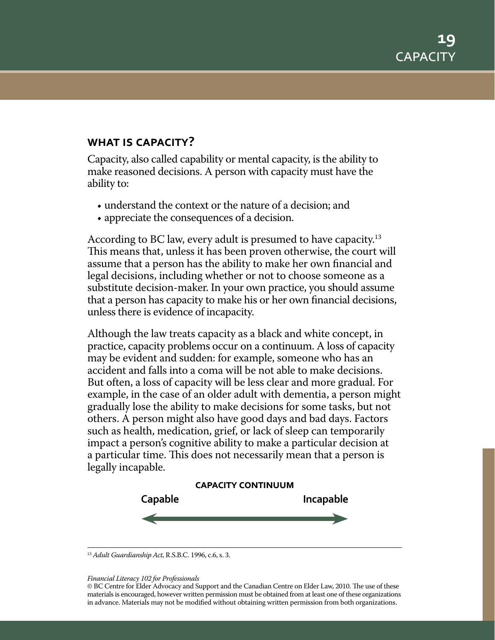### **what is capacity?**

Capacity, also called capability or mental capacity, is the ability to make reasoned decisions. A person with capacity must have the ability to:

- understand the context or the nature of a decision; and
- appreciate the consequences of a decision.

According to BC law, every adult is presumed to have capacity.<sup>13</sup> This means that, unless it has been proven otherwise, the court will assume that a person has the ability to make her own financial and legal decisions, including whether or not to choose someone as a substitute decision-maker. In your own practice, you should assume that a person has capacity to make his or her own financial decisions, unless there is evidence of incapacity.

Although the law treats capacity as a black and white concept, in practice, capacity problems occur on a continuum. A loss of capacity may be evident and sudden: for example, someone who has an accident and falls into a coma will be not able to make decisions. But often, a loss of capacity will be less clear and more gradual. For example, in the case of an older adult with dementia, a person might gradually lose the ability to make decisions for some tasks, but not others. A person might also have good days and bad days. Factors such as health, medication, grief, or lack of sleep can temporarily impact a person's cognitive ability to make a particular decision at a particular time. This does not necessarily mean that a person is legally incapable.



<sup>13</sup> *Adult Guardianship Act*, R.S.B.C. 1996, c.6, s. 3.

*Financial Literacy 102 for Professionals*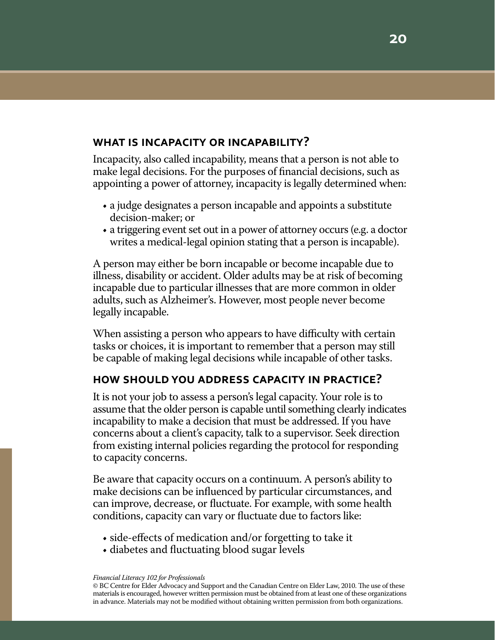### **what is incapacity or incapability?**

Incapacity, also called incapability, means that a person is not able to make legal decisions. For the purposes of financial decisions, such as appointing a power of attorney, incapacity is legally determined when:

- a judge designates a person incapable and appoints a substitute decision-maker; or
- a triggering event set out in a power of attorney occurs (e.g. a doctor writes a medical-legal opinion stating that a person is incapable).

A person may either be born incapable or become incapable due to illness, disability or accident. Older adults may be at risk of becoming incapable due to particular illnesses that are more common in older adults, such as Alzheimer's. However, most people never become legally incapable.

When assisting a person who appears to have difficulty with certain tasks or choices, it is important to remember that a person may still be capable of making legal decisions while incapable of other tasks.

### **how should you address capacity in practice?**

It is not your job to assess a person's legal capacity. Your role is to assume that the older person is capable until something clearly indicates incapability to make a decision that must be addressed. If you have concerns about a client's capacity, talk to a supervisor. Seek direction from existing internal policies regarding the protocol for responding to capacity concerns.

Be aware that capacity occurs on a continuum. A person's ability to make decisions can be influenced by particular circumstances, and can improve, decrease, or fluctuate. For example, with some health conditions, capacity can vary or fluctuate due to factors like:

- side-effects of medication and/or forgetting to take it
- diabetes and fluctuating blood sugar levels

*Financial Literacy 102 for Professionals*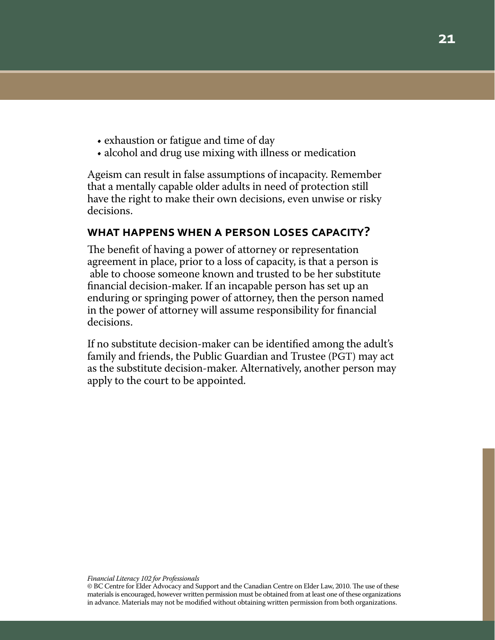- exhaustion or fatigue and time of day
- alcohol and drug use mixing with illness or medication

Ageism can result in false assumptions of incapacity. Remember that a mentally capable older adults in need of protection still have the right to make their own decisions, even unwise or risky decisions.

### **what happens when a person loses capacity?**

The benefit of having a power of attorney or representation agreement in place, prior to a loss of capacity, is that a person is able to choose someone known and trusted to be her substitute financial decision-maker. If an incapable person has set up an enduring or springing power of attorney, then the person named in the power of attorney will assume responsibility for financial decisions.

If no substitute decision-maker can be identified among the adult's family and friends, the Public Guardian and Trustee (PGT) may act as the substitute decision-maker. Alternatively, another person may apply to the court to be appointed.

<sup>©</sup> BC Centre for Elder Advocacy and Support and the Canadian Centre on Elder Law, 2010. The use of these materials is encouraged, however written permission must be obtained from at least one of these organizations in advance. Materials may not be modified without obtaining written permission from both organizations.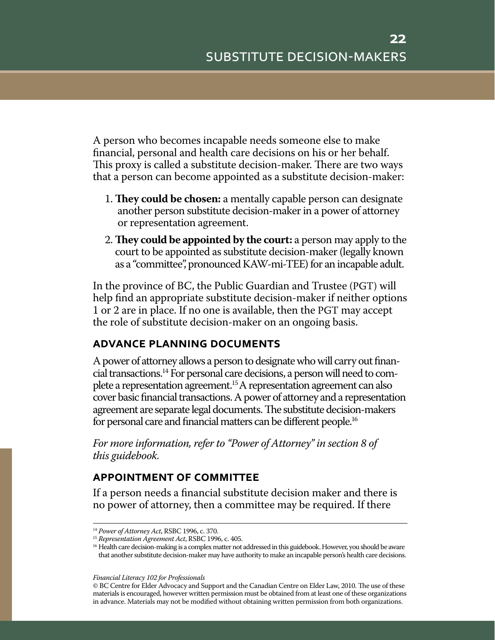A person who becomes incapable needs someone else to make financial, personal and health care decisions on his or her behalf. This proxy is called a substitute decision-maker. There are two ways that a person can become appointed as a substitute decision-maker:

- 1. **They could be chosen:** a mentally capable person can designate another person substitute decision-maker in a power of attorney or representation agreement.
- 2.**They could be appointed by the court:** a person may apply to the court to be appointed as substitute decision-maker (legally known as a "committee", pronounced KAW-mi-TEE) for an incapable adult.

In the province of BC, the Public Guardian and Trustee (PGT) will help find an appropriate substitute decision-maker if neither options 1 or 2 are in place. If no one is available, then the PGT may accept the role of substitute decision-maker on an ongoing basis.

### **advance planning documents**

A power of attorney allows a person to designate who will carry out financial transactions.14 For personal care decisions, a person will need to complete a representation agreement.15 A representation agreement can also cover basic financial transactions. A power of attorney and a representation agreement are separate legal documents. The substitute decision-makers for personal care and financial matters can be different people.16

*For more information, refer to "Power of Attorney" in section 8 of this guidebook.* 

### **appointment of committee**

If a person needs a financial substitute decision maker and there is no power of attorney, then a committee may be required. If there

<sup>14</sup> *Power of Attorney Act*, RSBC 1996, c. 370.

<sup>15</sup> *Representation Agreement Act*, RSBC 1996, c. 405.

<sup>&</sup>lt;sup>16</sup> Health care decision-making is a complex matter not addressed in this guidebook. However, you should be aware that another substitute decision-maker may have authority to make an incapable person's health care decisions.

<sup>©</sup> BC Centre for Elder Advocacy and Support and the Canadian Centre on Elder Law, 2010. The use of these materials is encouraged, however written permission must be obtained from at least one of these organizations in advance. Materials may not be modified without obtaining written permission from both organizations.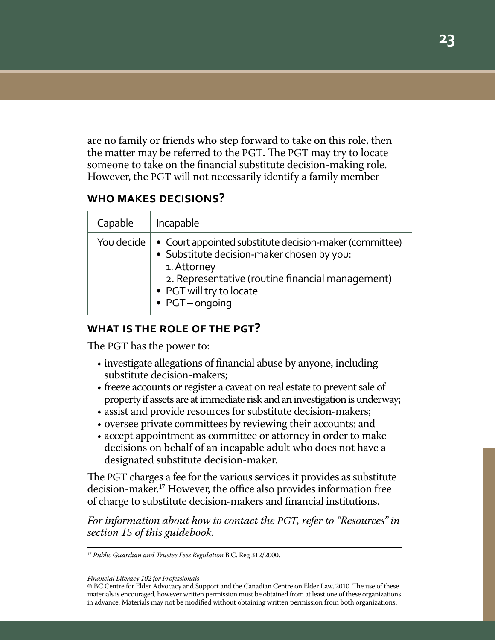are no family or friends who step forward to take on this role, then the matter may be referred to the PGT. The PGT may try to locate someone to take on the financial substitute decision-making role. However, the PGT will not necessarily identify a family member

### **who makes decisions?**

| Capable    | Incapable                                                                                                                                                                                                                       |
|------------|---------------------------------------------------------------------------------------------------------------------------------------------------------------------------------------------------------------------------------|
| You decide | • Court appointed substitute decision-maker (committee)<br>· Substitute decision-maker chosen by you:<br>1. Attorney<br>2. Representative (routine financial management)<br>• PGT will try to locate<br>$\bullet$ PGT – ongoing |

### **what is the role of the pgt?**

The PGT has the power to:

- investigate allegations of financial abuse by anyone, including substitute decision-makers;
- freeze accounts or register a caveat on real estate to prevent sale of property if assets are at immediate risk and an investigation is underway;
- assist and provide resources for substitute decision-makers;
- oversee private committees by reviewing their accounts; and
- accept appointment as committee or attorney in order to make decisions on behalf of an incapable adult who does not have a designated substitute decision-maker.

The PGT charges a fee for the various services it provides as substitute decision-maker.17 However, the office also provides information free of charge to substitute decision-makers and financial institutions.

*For information about how to contact the PGT, refer to "Resources" in section 15 of this guidebook.*

<sup>17</sup> *Public Guardian and Trustee Fees Regulation* B.C. Reg 312/2000.

*Financial Literacy 102 for Professionals*

<sup>©</sup> BC Centre for Elder Advocacy and Support and the Canadian Centre on Elder Law, 2010. The use of these materials is encouraged, however written permission must be obtained from at least one of these organizations in advance. Materials may not be modified without obtaining written permission from both organizations.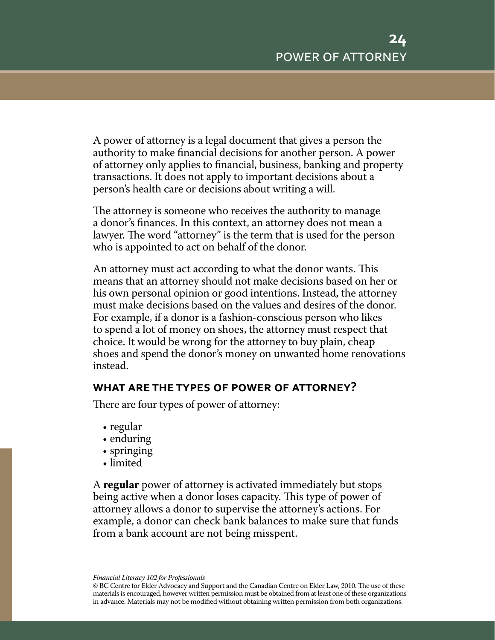A power of attorney is a legal document that gives a person the authority to make financial decisions for another person. A power of attorney only applies to financial, business, banking and property transactions. It does not apply to important decisions about a person's health care or decisions about writing a will.

The attorney is someone who receives the authority to manage a donor's finances. In this context, an attorney does not mean a lawyer. The word "attorney" is the term that is used for the person who is appointed to act on behalf of the donor.

An attorney must act according to what the donor wants. This means that an attorney should not make decisions based on her or his own personal opinion or good intentions. Instead, the attorney must make decisions based on the values and desires of the donor. For example, if a donor is a fashion-conscious person who likes to spend a lot of money on shoes, the attorney must respect that choice. It would be wrong for the attorney to buy plain, cheap shoes and spend the donor's money on unwanted home renovations instead.

### **what are the types of power of attorney?**

There are four types of power of attorney:

- regular
- enduring
- springing
- limited

A **regular** power of attorney is activated immediately but stops being active when a donor loses capacity. This type of power of attorney allows a donor to supervise the attorney's actions. For example, a donor can check bank balances to make sure that funds from a bank account are not being misspent.

<sup>©</sup> BC Centre for Elder Advocacy and Support and the Canadian Centre on Elder Law, 2010. The use of these materials is encouraged, however written permission must be obtained from at least one of these organizations in advance. Materials may not be modified without obtaining written permission from both organizations.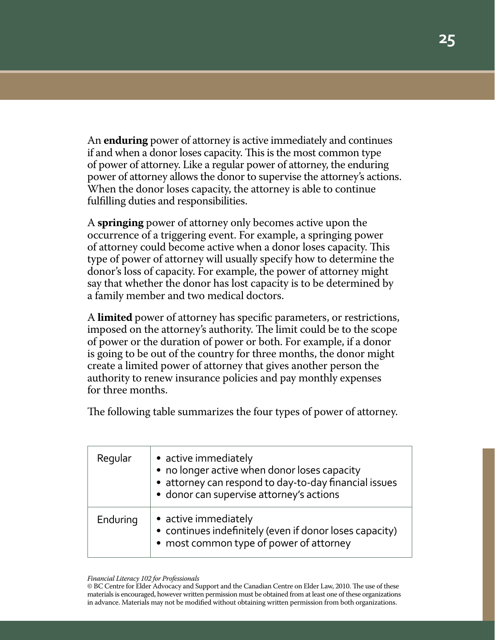An **enduring** power of attorney is active immediately and continues if and when a donor loses capacity. This is the most common type of power of attorney. Like a regular power of attorney, the enduring power of attorney allows the donor to supervise the attorney's actions. When the donor loses capacity, the attorney is able to continue fulfilling duties and responsibilities.

A **springing** power of attorney only becomes active upon the occurrence of a triggering event. For example, a springing power of attorney could become active when a donor loses capacity. This type of power of attorney will usually specify how to determine the donor's loss of capacity. For example, the power of attorney might say that whether the donor has lost capacity is to be determined by a family member and two medical doctors.

A **limited** power of attorney has specific parameters, or restrictions, imposed on the attorney's authority. The limit could be to the scope of power or the duration of power or both. For example, if a donor is going to be out of the country for three months, the donor might create a limited power of attorney that gives another person the authority to renew insurance policies and pay monthly expenses for three months.

The following table summarizes the four types of power of attorney.

| Regular  | • active immediately<br>• no longer active when donor loses capacity<br>• attorney can respond to day-to-day financial issues<br>· donor can supervise attorney's actions |
|----------|---------------------------------------------------------------------------------------------------------------------------------------------------------------------------|
| Enduring | • active immediately<br>• continues indefinitely (even if donor loses capacity)<br>• most common type of power of attorney                                                |

#### *Financial Literacy 102 for Professionals*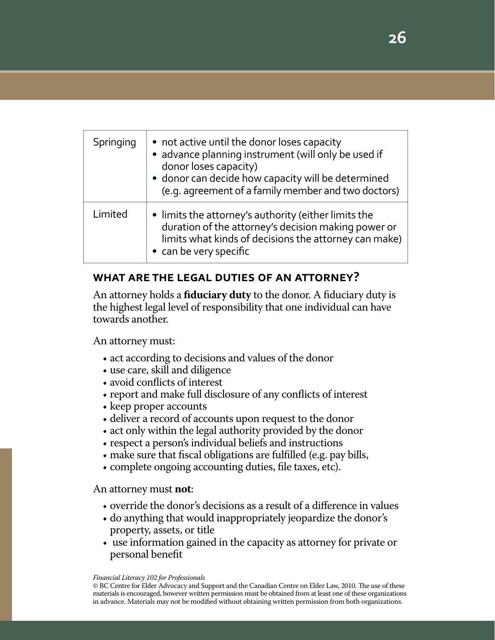| Springing | • not active until the donor loses capacity<br>· advance planning instrument (will only be used if<br>donor loses capacity)<br>· donor can decide how capacity will be determined<br>(e.g. agreement of a family member and two doctors) |
|-----------|------------------------------------------------------------------------------------------------------------------------------------------------------------------------------------------------------------------------------------------|
| Limited   | • limits the attorney's authority (either limits the<br>duration of the attorney's decision making power or<br>limits what kinds of decisions the attorney can make)<br>• can be very specific                                           |

### **what are the legal duties of an attorney?**

An attorney holds a **fiduciary duty** to the donor. A fiduciary duty is the highest legal level of responsibility that one individual can have towards another.

An attorney must:

- act according to decisions and values of the donor
- use care, skill and diligence
- avoid conflicts of interest
- report and make full disclosure of any conflicts of interest
- keep proper accounts
- deliver a record of accounts upon request to the donor
- act only within the legal authority provided by the donor
- respect a person's individual beliefs and instructions
- make sure that fiscal obligations are fulfilled (e.g. pay bills,
- complete ongoing accounting duties, file taxes, etc).

An attorney must **not**:

- override the donor's decisions as a result of a difference in values
- do anything that would inappropriately jeopardize the donor's property, assets, or title
- use information gained in the capacity as attorney for private or personal benefit

*Financial Literacy 102 for Professionals*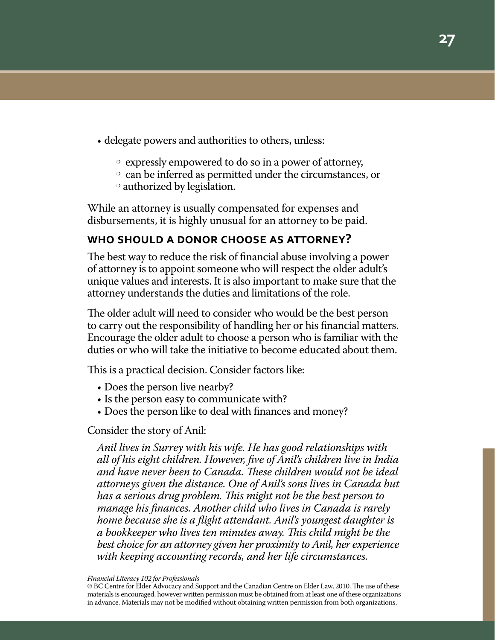- delegate powers and authorities to others, unless:
	- $\circ$  expressly empowered to do so in a power of attorney,
	- $\circ$  can be inferred as permitted under the circumstances, or
	- $\circ$  authorized by legislation.

While an attorney is usually compensated for expenses and disbursements, it is highly unusual for an attorney to be paid.

### **who should a donor choose as attorney?**

The best way to reduce the risk of financial abuse involving a power of attorney is to appoint someone who will respect the older adult's unique values and interests. It is also important to make sure that the attorney understands the duties and limitations of the role.

The older adult will need to consider who would be the best person to carry out the responsibility of handling her or his financial matters. Encourage the older adult to choose a person who is familiar with the duties or who will take the initiative to become educated about them.

This is a practical decision. Consider factors like:

- Does the person live nearby?
- Is the person easy to communicate with?
- Does the person like to deal with finances and money?

### Consider the story of Anil:

*Anil lives in Surrey with his wife. He has good relationships with all of his eight children. However, five of Anil's children live in India and have never been to Canada. These children would not be ideal attorneys given the distance. One of Anil's sons lives in Canada but has a serious drug problem. This might not be the best person to manage his finances. Another child who lives in Canada is rarely home because she is a flight attendant. Anil's youngest daughter is a bookkeeper who lives ten minutes away. This child might be the best choice for an attorney given her proximity to Anil, her experience with keeping accounting records, and her life circumstances.*

*Financial Literacy 102 for Professionals*

<sup>©</sup> BC Centre for Elder Advocacy and Support and the Canadian Centre on Elder Law, 2010. The use of these materials is encouraged, however written permission must be obtained from at least one of these organizations in advance. Materials may not be modified without obtaining written permission from both organizations.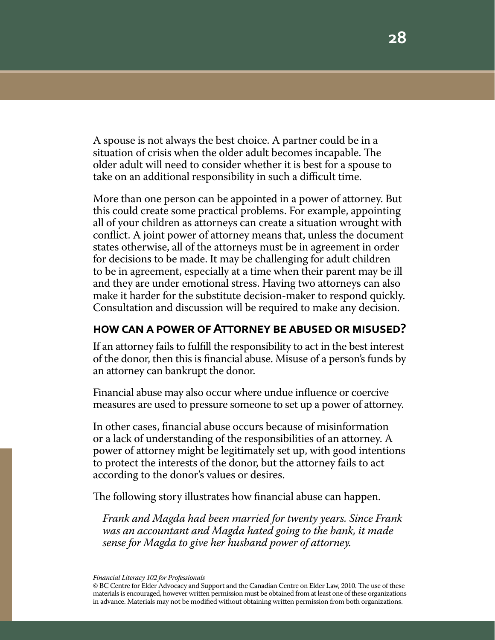A spouse is not always the best choice. A partner could be in a situation of crisis when the older adult becomes incapable. The older adult will need to consider whether it is best for a spouse to take on an additional responsibility in such a difficult time.

More than one person can be appointed in a power of attorney. But this could create some practical problems. For example, appointing all of your children as attorneys can create a situation wrought with conflict. A joint power of attorney means that, unless the document states otherwise, all of the attorneys must be in agreement in order for decisions to be made. It may be challenging for adult children to be in agreement, especially at a time when their parent may be ill and they are under emotional stress. Having two attorneys can also make it harder for the substitute decision-maker to respond quickly. Consultation and discussion will be required to make any decision.

### **how can a power of Attorney be abused or misused?**

If an attorney fails to fulfill the responsibility to act in the best interest of the donor, then this is financial abuse. Misuse of a person's funds by an attorney can bankrupt the donor.

Financial abuse may also occur where undue influence or coercive measures are used to pressure someone to set up a power of attorney.

In other cases, financial abuse occurs because of misinformation or a lack of understanding of the responsibilities of an attorney. A power of attorney might be legitimately set up, with good intentions to protect the interests of the donor, but the attorney fails to act according to the donor's values or desires.

The following story illustrates how financial abuse can happen.

*Frank and Magda had been married for twenty years. Since Frank was an accountant and Magda hated going to the bank, it made sense for Magda to give her husband power of attorney.*

*Financial Literacy 102 for Professionals*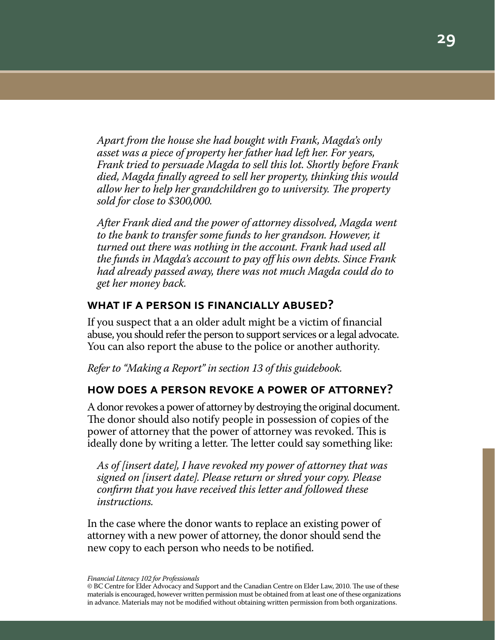*Apart from the house she had bought with Frank, Magda's only asset was a piece of property her father had left her. For years, Frank tried to persuade Magda to sell this lot. Shortly before Frank died, Magda finally agreed to sell her property, thinking this would allow her to help her grandchildren go to university. The property sold for close to \$300,000.*

*After Frank died and the power of attorney dissolved, Magda went to the bank to transfer some funds to her grandson. However, it turned out there was nothing in the account. Frank had used all the funds in Magda's account to pay off his own debts. Since Frank had already passed away, there was not much Magda could do to get her money back.*

### **what if a person is financially abused?**

If you suspect that a an older adult might be a victim of financial abuse, you should refer the person to support services or a legal advocate. You can also report the abuse to the police or another authority.

*Refer to "Making a Report" in section 13 of this guidebook.*

### **how does a person revoke a power of attorney?**

A donor revokes a power of attorney by destroying the original document. The donor should also notify people in possession of copies of the power of attorney that the power of attorney was revoked. This is ideally done by writing a letter. The letter could say something like:

*As of [insert date], I have revoked my power of attorney that was signed on [insert date]. Please return or shred your copy. Please confirm that you have received this letter and followed these instructions.*

In the case where the donor wants to replace an existing power of attorney with a new power of attorney, the donor should send the new copy to each person who needs to be notified.

*Financial Literacy 102 for Professionals*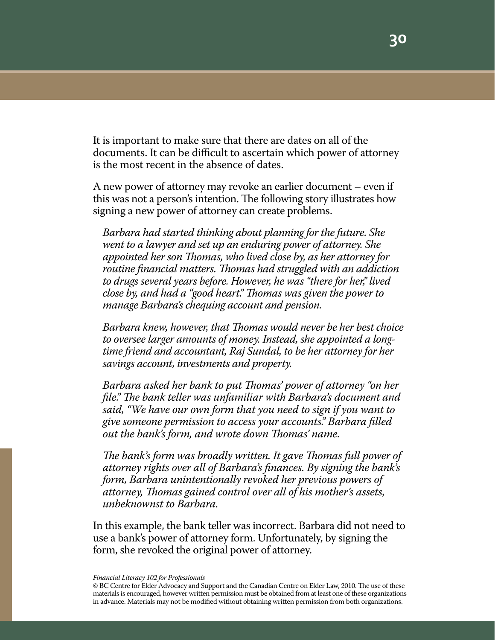It is important to make sure that there are dates on all of the documents. It can be difficult to ascertain which power of attorney is the most recent in the absence of dates.

A new power of attorney may revoke an earlier document – even if this was not a person's intention. The following story illustrates how signing a new power of attorney can create problems.

*Barbara had started thinking about planning for the future. She went to a lawyer and set up an enduring power of attorney. She appointed her son Thomas, who lived close by, as her attorney for routine financial matters. Thomas had struggled with an addiction to drugs several years before. However, he was "there for her," lived close by, and had a "good heart." Thomas was given the power to manage Barbara's chequing account and pension.*

*Barbara knew, however, that Thomas would never be her best choice to oversee larger amounts of money. Instead, she appointed a longtime friend and accountant, Raj Sundal, to be her attorney for her savings account, investments and property.*

*Barbara asked her bank to put Thomas' power of attorney "on her file." The bank teller was unfamiliar with Barbara's document and said, "We have our own form that you need to sign if you want to give someone permission to access your accounts." Barbara filled out the bank's form, and wrote down Thomas' name.*

*The bank's form was broadly written. It gave Thomas full power of attorney rights over all of Barbara's finances. By signing the bank's form, Barbara unintentionally revoked her previous powers of attorney, Thomas gained control over all of his mother's assets, unbeknownst to Barbara.*

In this example, the bank teller was incorrect. Barbara did not need to use a bank's power of attorney form. Unfortunately, by signing the form, she revoked the original power of attorney.

<sup>©</sup> BC Centre for Elder Advocacy and Support and the Canadian Centre on Elder Law, 2010. The use of these materials is encouraged, however written permission must be obtained from at least one of these organizations in advance. Materials may not be modified without obtaining written permission from both organizations.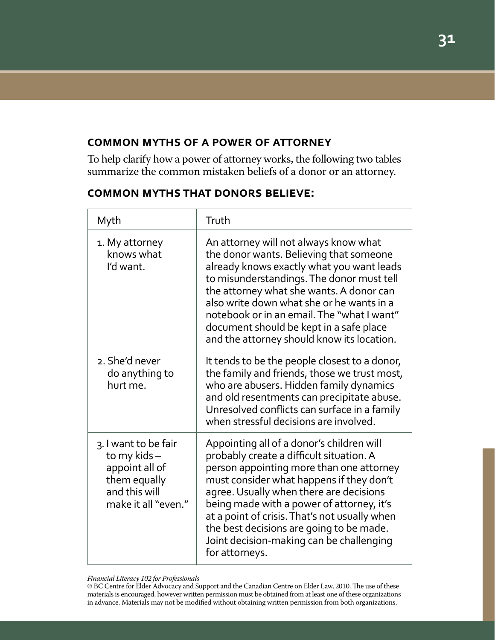### **common myths of a power of attorney**

To help clarify how a power of attorney works, the following two tables summarize the common mistaken beliefs of a donor or an attorney.

### **common myths that donors believe:**

| Myth                                                                                                          | Truth                                                                                                                                                                                                                                                                                                                                                                                                                            |
|---------------------------------------------------------------------------------------------------------------|----------------------------------------------------------------------------------------------------------------------------------------------------------------------------------------------------------------------------------------------------------------------------------------------------------------------------------------------------------------------------------------------------------------------------------|
| 1. My attorney<br>knows what<br>I'd want.                                                                     | An attorney will not always know what<br>the donor wants. Believing that someone<br>already knows exactly what you want leads<br>to misunderstandings. The donor must tell<br>the attorney what she wants. A donor can<br>also write down what she or he wants in a<br>notebook or in an email. The "what I want"<br>document should be kept in a safe place<br>and the attorney should know its location.                       |
| 2. She'd never<br>do anything to<br>hurt me.                                                                  | It tends to be the people closest to a donor,<br>the family and friends, those we trust most,<br>who are abusers. Hidden family dynamics<br>and old resentments can precipitate abuse.<br>Unresolved conflicts can surface in a family<br>when stressful decisions are involved.                                                                                                                                                 |
| 3. I want to be fair<br>to my kids-<br>appoint all of<br>them equally<br>and this will<br>make it all "even." | Appointing all of a donor's children will<br>probably create a difficult situation. A<br>person appointing more than one attorney<br>must consider what happens if they don't<br>agree. Usually when there are decisions<br>being made with a power of attorney, it's<br>at a point of crisis. That's not usually when<br>the best decisions are going to be made.<br>Joint decision-making can be challenging<br>for attorneys. |

#### *Financial Literacy 102 for Professionals*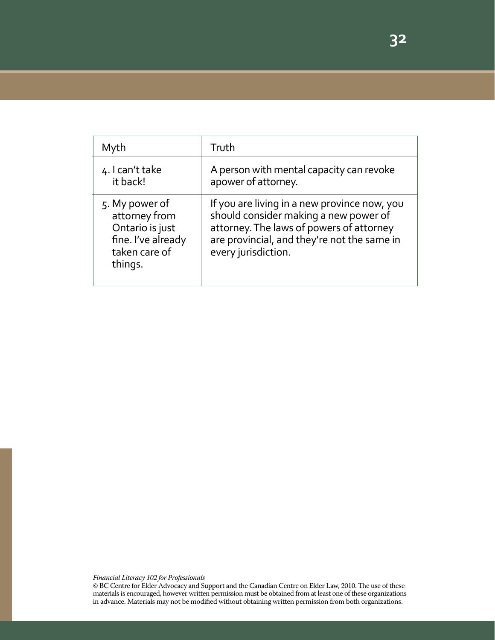| Myth                                                                                                 | Truth                                                                                                                                                                                                   |
|------------------------------------------------------------------------------------------------------|---------------------------------------------------------------------------------------------------------------------------------------------------------------------------------------------------------|
| 4. I can't take<br>it back!                                                                          | A person with mental capacity can revoke<br>apower of attorney.                                                                                                                                         |
| 5. My power of<br>attorney from<br>Ontario is just<br>fine. I've already<br>taken care of<br>things. | If you are living in a new province now, you<br>should consider making a new power of<br>attorney. The laws of powers of attorney<br>are provincial, and they're not the same in<br>every jurisdiction. |

*Financial Literacy 102 for Professionals*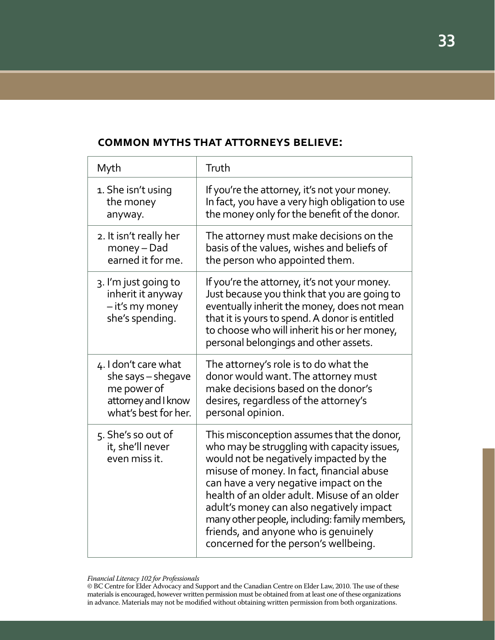#### Myth 1. She isn't using the money anyway. 2. It isn't really her money – Dad earned it for me. 3. I'm just going to inherit it anyway – it's my money she's spending. 4. I don't care what she says – shegave me power of attorney and I know what's best for her. 5. She's so out of it, she'll never even miss it. Truth If you're the attorney, it's not your money. In fact, you have a very high obligation to use the money only for the benefit of the donor. The attorney must make decisions on the basis of the values, wishes and beliefs of the person who appointed them. If you're the attorney, it's not your money. Just because you think that you are going to eventually inherit the money, does not mean that it is yours to spend. A donor is entitled to choose who will inherit his or her money, personal belongings and other assets. The attorney's role is to do what the donor would want. The attorney must make decisions based on the donor's desires, regardless of the attorney's personal opinion. This misconception assumes that the donor, who may be struggling with capacity issues, would not be negatively impacted by the misuse of money. In fact, financial abuse can have a very negative impact on the health of an older adult. Misuse of an older adult's money can also negatively impact many other people, including: family members, friends, and anyone who is genuinely concerned for the person's wellbeing.

### **common myths that attorneys believe:**

*Financial Literacy 102 for Professionals*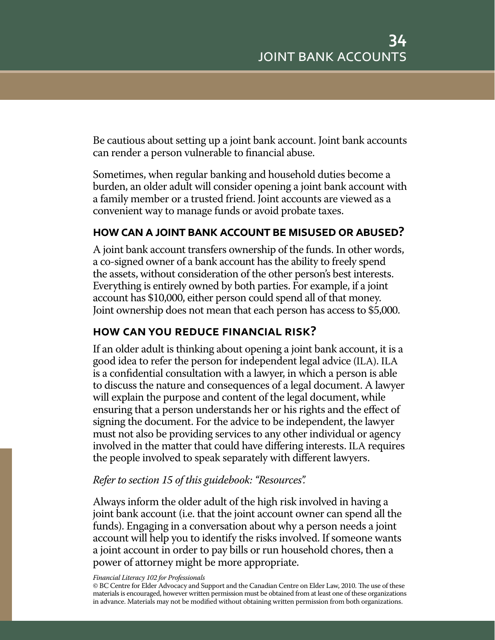Be cautious about setting up a joint bank account. Joint bank accounts can render a person vulnerable to financial abuse.

Sometimes, when regular banking and household duties become a burden, an older adult will consider opening a joint bank account with a family member or a trusted friend. Joint accounts are viewed as a convenient way to manage funds or avoid probate taxes.

### **how can a joint bank account be misused or abused?**

A joint bank account transfers ownership of the funds. In other words, a co-signed owner of a bank account has the ability to freely spend the assets, without consideration of the other person's best interests. Everything is entirely owned by both parties. For example, if a joint account has \$10,000, either person could spend all of that money. Joint ownership does not mean that each person has access to \$5,000.

### **how can you reduce financial risk?**

If an older adult is thinking about opening a joint bank account, it is a good idea to refer the person for independent legal advice (ILA). ILA is a confidential consultation with a lawyer, in which a person is able to discuss the nature and consequences of a legal document. A lawyer will explain the purpose and content of the legal document, while ensuring that a person understands her or his rights and the effect of signing the document. For the advice to be independent, the lawyer must not also be providing services to any other individual or agency involved in the matter that could have differing interests. ILA requires the people involved to speak separately with different lawyers.

### *Refer to section 15 of this guidebook: "Resources".*

Always inform the older adult of the high risk involved in having a joint bank account (i.e. that the joint account owner can spend all the funds). Engaging in a conversation about why a person needs a joint account will help you to identify the risks involved. If someone wants a joint account in order to pay bills or run household chores, then a power of attorney might be more appropriate.

<sup>©</sup> BC Centre for Elder Advocacy and Support and the Canadian Centre on Elder Law, 2010. The use of these materials is encouraged, however written permission must be obtained from at least one of these organizations in advance. Materials may not be modified without obtaining written permission from both organizations.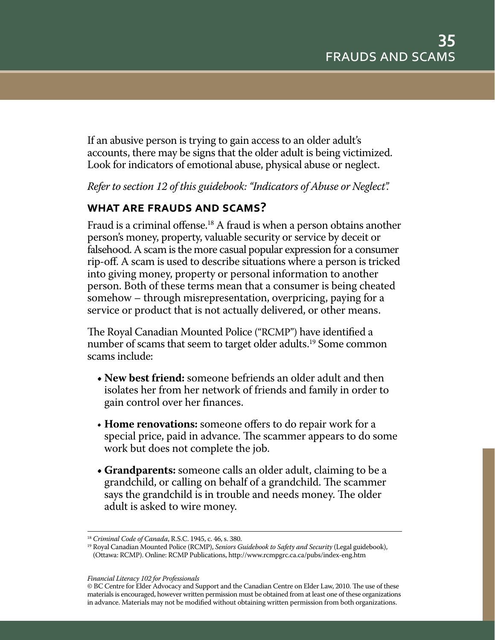If an abusive person is trying to gain access to an older adult's accounts, there may be signs that the older adult is being victimized. Look for indicators of emotional abuse, physical abuse or neglect.

*Refer to section 12 of this guidebook: "Indicators of Abuse or Neglect".*

### **what are frauds and scams?**

Fraud is a criminal offense.<sup>18</sup> A fraud is when a person obtains another person's money, property, valuable security or service by deceit or falsehood. A scam is the more casual popular expression for a consumer rip-off. A scam is used to describe situations where a person is tricked into giving money, property or personal information to another person. Both of these terms mean that a consumer is being cheated somehow – through misrepresentation, overpricing, paying for a service or product that is not actually delivered, or other means.

The Royal Canadian Mounted Police ("RCMP") have identified a number of scams that seem to target older adults.<sup>19</sup> Some common scams include:

- **New best friend:** someone befriends an older adult and then isolates her from her network of friends and family in order to gain control over her finances.
- **Home renovations:** someone offers to do repair work for a special price, paid in advance. The scammer appears to do some work but does not complete the job.
- **Grandparents:** someone calls an older adult, claiming to be a grandchild, or calling on behalf of a grandchild. The scammer says the grandchild is in trouble and needs money. The older adult is asked to wire money.

<sup>18</sup> *Criminal Code of Canada*, R.S.C. 1945, c. 46, s. 380.

<sup>&</sup>lt;sup>19</sup> Royal Canadian Mounted Police (RCMP), *Seniors Guidebook to Safety and Security* (Legal guidebook), (Ottawa: RCMP). Online: RCMP Publications, http://www.rcmpgrc.ca.ca/pubs/index-eng.htm

*Financial Literacy 102 for Professionals*

<sup>©</sup> BC Centre for Elder Advocacy and Support and the Canadian Centre on Elder Law, 2010. The use of these materials is encouraged, however written permission must be obtained from at least one of these organizations in advance. Materials may not be modified without obtaining written permission from both organizations.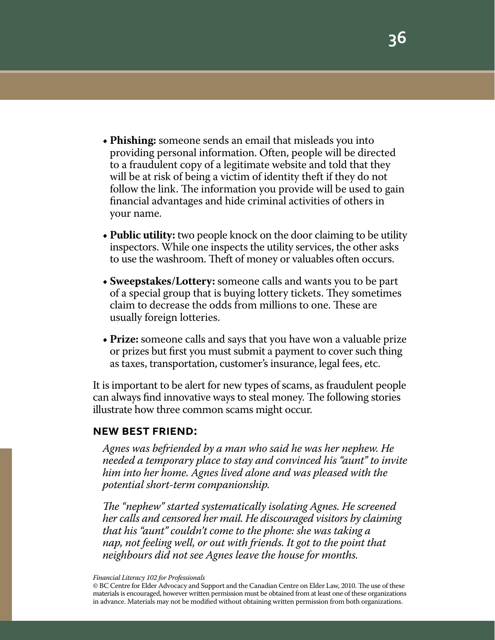- **Phishing:** someone sends an email that misleads you into providing personal information. Often, people will be directed to a fraudulent copy of a legitimate website and told that they will be at risk of being a victim of identity theft if they do not follow the link. The information you provide will be used to gain financial advantages and hide criminal activities of others in your name.
- **Public utility:** two people knock on the door claiming to be utility inspectors. While one inspects the utility services, the other asks to use the washroom. Theft of money or valuables often occurs.
- **• Sweepstakes/Lottery:** someone calls and wants you to be part of a special group that is buying lottery tickets. They sometimes claim to decrease the odds from millions to one. These are usually foreign lotteries.
- **Prize:** someone calls and says that you have won a valuable prize or prizes but first you must submit a payment to cover such thing as taxes, transportation, customer's insurance, legal fees, etc.

It is important to be alert for new types of scams, as fraudulent people can always find innovative ways to steal money. The following stories illustrate how three common scams might occur.

### **new best friend:**

*Agnes was befriended by a man who said he was her nephew. He needed a temporary place to stay and convinced his "aunt" to invite him into her home. Agnes lived alone and was pleased with the potential short-term companionship.*

*The "nephew" started systematically isolating Agnes. He screened her calls and censored her mail. He discouraged visitors by claiming that his "aunt" couldn't come to the phone: she was taking a nap, not feeling well, or out with friends. It got to the point that neighbours did not see Agnes leave the house for months.*

<sup>©</sup> BC Centre for Elder Advocacy and Support and the Canadian Centre on Elder Law, 2010. The use of these materials is encouraged, however written permission must be obtained from at least one of these organizations in advance. Materials may not be modified without obtaining written permission from both organizations.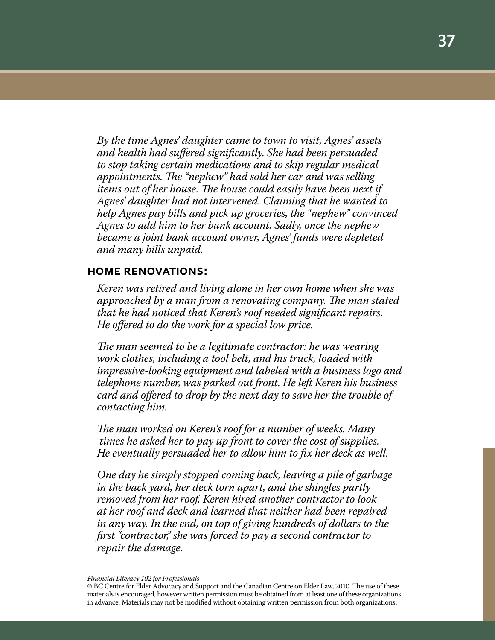*By the time Agnes' daughter came to town to visit, Agnes' assets and health had suffered significantly. She had been persuaded to stop taking certain medications and to skip regular medical appointments. The "nephew" had sold her car and was selling items out of her house. The house could easily have been next if Agnes' daughter had not intervened. Claiming that he wanted to help Agnes pay bills and pick up groceries, the "nephew" convinced Agnes to add him to her bank account. Sadly, once the nephew became a joint bank account owner, Agnes' funds were depleted and many bills unpaid.*

#### **home renovations:**

*Keren was retired and living alone in her own home when she was approached by a man from a renovating company. The man stated that he had noticed that Keren's roof needed significant repairs. He offered to do the work for a special low price.*

*The man seemed to be a legitimate contractor: he was wearing work clothes, including a tool belt, and his truck, loaded with impressive-looking equipment and labeled with a business logo and telephone number, was parked out front. He left Keren his business card and offered to drop by the next day to save her the trouble of contacting him.*

*The man worked on Keren's roof for a number of weeks. Many times he asked her to pay up front to cover the cost of supplies. He eventually persuaded her to allow him to fix her deck as well.*

*One day he simply stopped coming back, leaving a pile of garbage in the back yard, her deck torn apart, and the shingles partly removed from her roof. Keren hired another contractor to look at her roof and deck and learned that neither had been repaired in any way. In the end, on top of giving hundreds of dollars to the first "contractor," she was forced to pay a second contractor to repair the damage.*

<sup>©</sup> BC Centre for Elder Advocacy and Support and the Canadian Centre on Elder Law, 2010. The use of these materials is encouraged, however written permission must be obtained from at least one of these organizations in advance. Materials may not be modified without obtaining written permission from both organizations.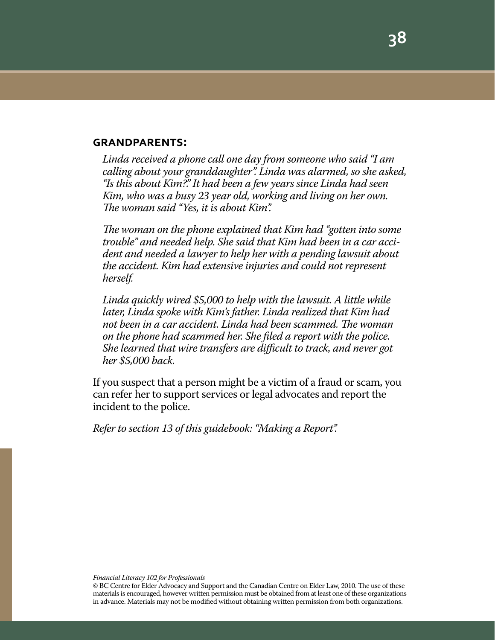#### **grandparents:**

*Linda received a phone call one day from someone who said "I am calling about your granddaughter". Linda was alarmed, so she asked, "Is this about Kim?." It had been a few years since Linda had seen Kim, who was a busy 23 year old, working and living on her own. The woman said "Yes, it is about Kim".*

*The woman on the phone explained that Kim had "gotten into some trouble" and needed help. She said that Kim had been in a car accident and needed a lawyer to help her with a pending lawsuit about the accident. Kim had extensive injuries and could not represent herself.*

*Linda quickly wired \$5,000 to help with the lawsuit. A little while later, Linda spoke with Kim's father. Linda realized that Kim had not been in a car accident. Linda had been scammed. The woman on the phone had scammed her. She filed a report with the police. She learned that wire transfers are difficult to track, and never got her \$5,000 back.*

If you suspect that a person might be a victim of a fraud or scam, you can refer her to support services or legal advocates and report the incident to the police.

*Refer to section 13 of this guidebook: "Making a Report".*

<sup>©</sup> BC Centre for Elder Advocacy and Support and the Canadian Centre on Elder Law, 2010. The use of these materials is encouraged, however written permission must be obtained from at least one of these organizations in advance. Materials may not be modified without obtaining written permission from both organizations.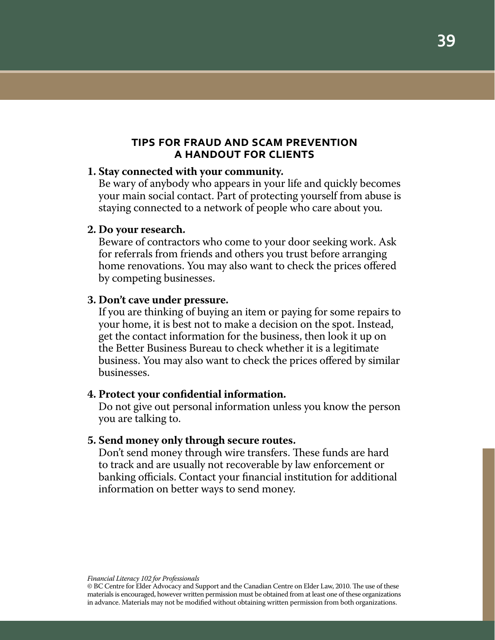## **tips for fraud and scam prevention a handout for clients**

#### **1. Stay connected with your community.**

Be wary of anybody who appears in your life and quickly becomes your main social contact. Part of protecting yourself from abuse is staying connected to a network of people who care about you.

#### **2. Do your research.**

Beware of contractors who come to your door seeking work. Ask for referrals from friends and others you trust before arranging home renovations. You may also want to check the prices offered by competing businesses.

#### **3. Don't cave under pressure.**

If you are thinking of buying an item or paying for some repairs to your home, it is best not to make a decision on the spot. Instead, get the contact information for the business, then look it up on the Better Business Bureau to check whether it is a legitimate business. You may also want to check the prices offered by similar businesses.

#### **4. Protect your confidential information.**

Do not give out personal information unless you know the person you are talking to.

#### **5. Send money only through secure routes.**

Don't send money through wire transfers. These funds are hard to track and are usually not recoverable by law enforcement or banking officials. Contact your financial institution for additional information on better ways to send money.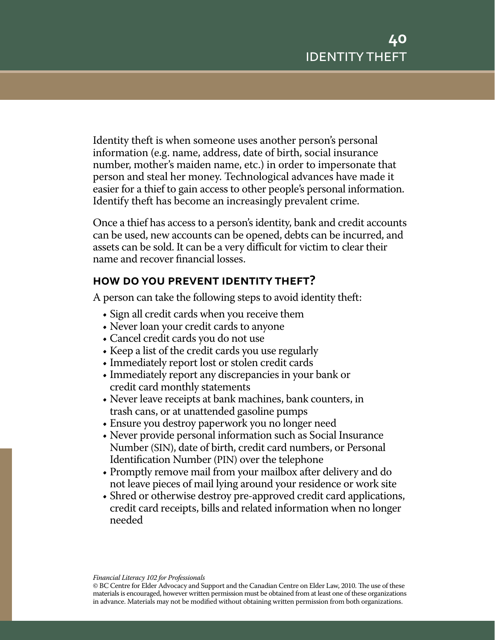Identity theft is when someone uses another person's personal information (e.g. name, address, date of birth, social insurance number, mother's maiden name, etc.) in order to impersonate that person and steal her money. Technological advances have made it easier for a thief to gain access to other people's personal information. Identify theft has become an increasingly prevalent crime.

Once a thief has access to a person's identity, bank and credit accounts can be used, new accounts can be opened, debts can be incurred, and assets can be sold. It can be a very difficult for victim to clear their name and recover financial losses.

# **how do you prevent identity theft?**

A person can take the following steps to avoid identity theft:

- Sign all credit cards when you receive them
- Never loan your credit cards to anyone
- Cancel credit cards you do not use
- Keep a list of the credit cards you use regularly
- Immediately report lost or stolen credit cards
- Immediately report any discrepancies in your bank or credit card monthly statements
- • Never leave receipts at bank machines, bank counters, in trash cans, or at unattended gasoline pumps
- Ensure you destroy paperwork you no longer need
- Never provide personal information such as Social Insurance Number (SIN), date of birth, credit card numbers, or Personal Identification Number (PIN) over the telephone
- Promptly remove mail from your mailbox after delivery and do not leave pieces of mail lying around your residence or work site
- Shred or otherwise destroy pre-approved credit card applications, credit card receipts, bills and related information when no longer needed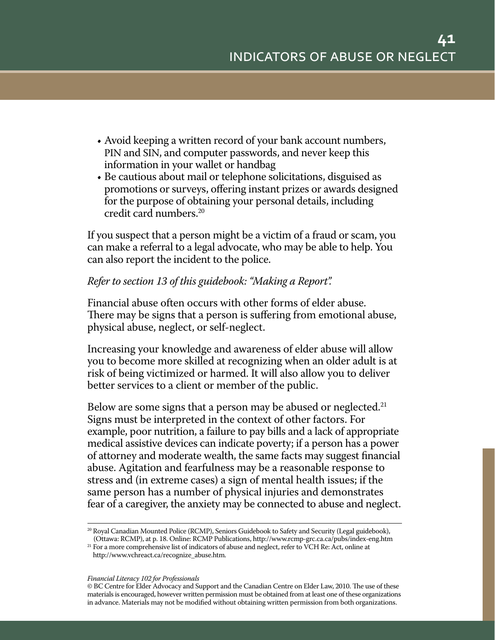- Avoid keeping a written record of your bank account numbers, PIN and SIN, and computer passwords, and never keep this information in your wallet or handbag
- Be cautious about mail or telephone solicitations, disguised as promotions or surveys, offering instant prizes or awards designed for the purpose of obtaining your personal details, including credit card numbers.20

If you suspect that a person might be a victim of a fraud or scam, you can make a referral to a legal advocate, who may be able to help. You can also report the incident to the police.

# *Refer to section 13 of this guidebook: "Making a Report".*

Financial abuse often occurs with other forms of elder abuse. There may be signs that a person is suffering from emotional abuse, physical abuse, neglect, or self-neglect.

Increasing your knowledge and awareness of elder abuse will allow you to become more skilled at recognizing when an older adult is at risk of being victimized or harmed. It will also allow you to deliver better services to a client or member of the public.

Below are some signs that a person may be abused or neglected.<sup>21</sup> Signs must be interpreted in the context of other factors. For example, poor nutrition, a failure to pay bills and a lack of appropriate medical assistive devices can indicate poverty; if a person has a power of attorney and moderate wealth, the same facts may suggest financial abuse. Agitation and fearfulness may be a reasonable response to stress and (in extreme cases) a sign of mental health issues; if the same person has a number of physical injuries and demonstrates fear of a caregiver, the anxiety may be connected to abuse and neglect.

<sup>20</sup> Royal Canadian Mounted Police (RCMP), Seniors Guidebook to Safety and Security (Legal guidebook), (Ottawa: RCMP), at p. 18. Online: RCMP Publications, http://www.rcmp-grc.ca.ca/pubs/index-eng.htm

<sup>&</sup>lt;sup>21</sup> For a more comprehensive list of indicators of abuse and neglect, refer to VCH Re: Act, online at http://www.vchreact.ca/recognize\_abuse.htm.

<sup>©</sup> BC Centre for Elder Advocacy and Support and the Canadian Centre on Elder Law, 2010. The use of these materials is encouraged, however written permission must be obtained from at least one of these organizations in advance. Materials may not be modified without obtaining written permission from both organizations.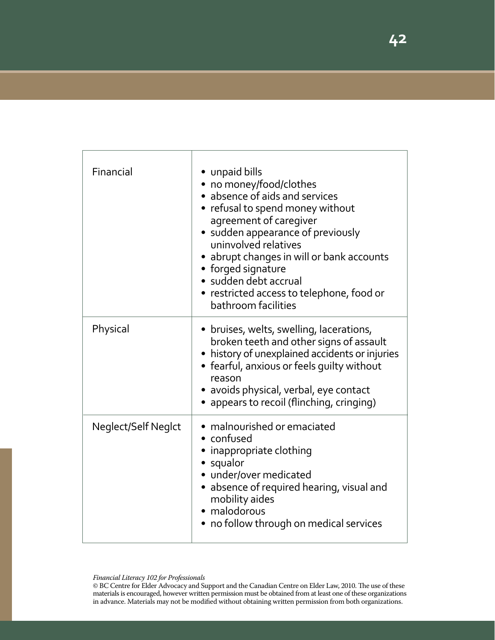| Financial           | • unpaid bills<br>• no money/food/clothes<br>• absence of aids and services<br>• refusal to spend money without<br>agreement of caregiver<br>• sudden appearance of previously<br>uninvolved relatives<br>• abrupt changes in will or bank accounts<br>• forged signature<br>· sudden debt accrual<br>• restricted access to telephone, food or<br>bathroom facilities |
|---------------------|------------------------------------------------------------------------------------------------------------------------------------------------------------------------------------------------------------------------------------------------------------------------------------------------------------------------------------------------------------------------|
| Physical            | • bruises, welts, swelling, lacerations,<br>broken teeth and other signs of assault<br>• history of unexplained accidents or injuries<br>• fearful, anxious or feels guilty without<br>reason<br>· avoids physical, verbal, eye contact<br>• appears to recoil (flinching, cringing)                                                                                   |
| Neglect/Self Neglct | • malnourished or emaciated<br>• confused<br>• inappropriate clothing<br>• squalor<br>• under/over medicated<br>• absence of required hearing, visual and<br>mobility aides<br>• malodorous<br>• no follow through on medical services                                                                                                                                 |

*Financial Literacy 102 for Professionals*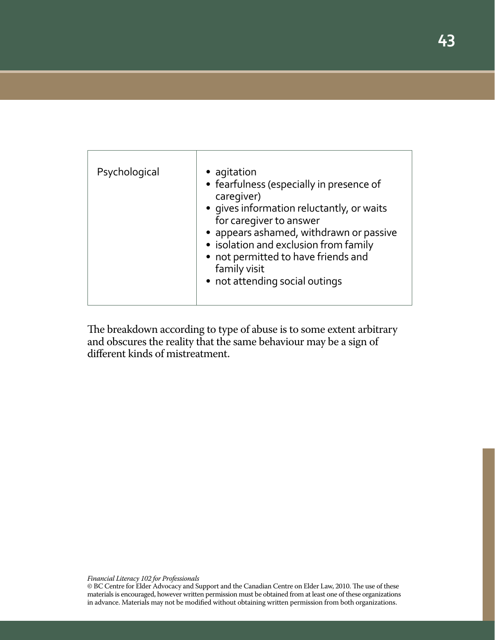| Psychological | • agitation<br>• fearfulness (especially in presence of<br>caregiver)<br>• gives information reluctantly, or waits<br>for caregiver to answer<br>• appears ashamed, withdrawn or passive<br>• isolation and exclusion from family<br>• not permitted to have friends and<br>family visit<br>• not attending social outings |
|---------------|----------------------------------------------------------------------------------------------------------------------------------------------------------------------------------------------------------------------------------------------------------------------------------------------------------------------------|
|               |                                                                                                                                                                                                                                                                                                                            |

The breakdown according to type of abuse is to some extent arbitrary and obscures the reality that the same behaviour may be a sign of different kinds of mistreatment.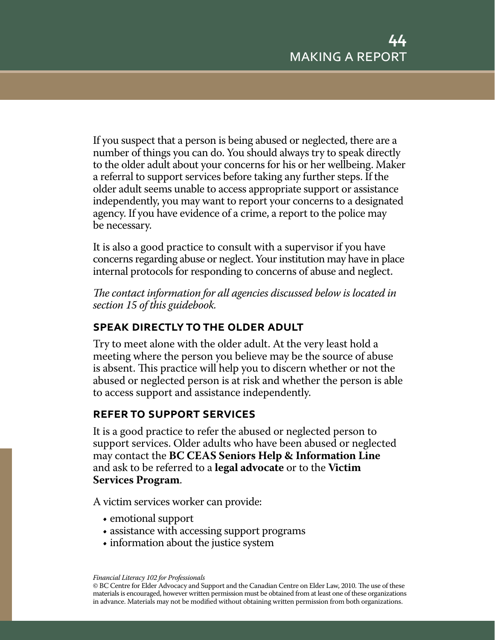If you suspect that a person is being abused or neglected, there are a number of things you can do. You should always try to speak directly to the older adult about your concerns for his or her wellbeing. Maker a referral to support services before taking any further steps. If the older adult seems unable to access appropriate support or assistance independently, you may want to report your concerns to a designated agency. If you have evidence of a crime, a report to the police may be necessary.

It is also a good practice to consult with a supervisor if you have concerns regarding abuse or neglect. Your institution may have in place internal protocols for responding to concerns of abuse and neglect.

*The contact information for all agencies discussed below is located in section 15 of this guidebook.*

# **speak directly to the older adult**

Try to meet alone with the older adult. At the very least hold a meeting where the person you believe may be the source of abuse is absent. This practice will help you to discern whether or not the abused or neglected person is at risk and whether the person is able to access support and assistance independently.

# **refer to support services**

It is a good practice to refer the abused or neglected person to support services. Older adults who have been abused or neglected may contact the **BC CEAS Seniors Help & Information Line** and ask to be referred to a **legal advocate** or to the **Victim Services Program**.

A victim services worker can provide:

- emotional support
- assistance with accessing support programs
- information about the justice system

*Financial Literacy 102 for Professionals*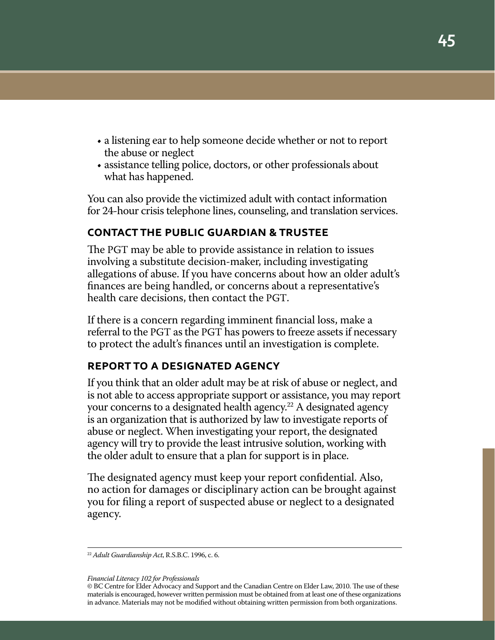- a listening ear to help someone decide whether or not to report the abuse or neglect
- assistance telling police, doctors, or other professionals about what has happened.

You can also provide the victimized adult with contact information for 24-hour crisis telephone lines, counseling, and translation services.

# **contact the public guardian & trustee**

The PGT may be able to provide assistance in relation to issues involving a substitute decision-maker, including investigating allegations of abuse. If you have concerns about how an older adult's finances are being handled, or concerns about a representative's health care decisions, then contact the PGT.

If there is a concern regarding imminent financial loss, make a referral to the PGT as the PGT has powers to freeze assets if necessary to protect the adult's finances until an investigation is complete.

#### **report to a designated agency**

If you think that an older adult may be at risk of abuse or neglect, and is not able to access appropriate support or assistance, you may report your concerns to a designated health agency.<sup>22</sup> A designated agency is an organization that is authorized by law to investigate reports of abuse or neglect. When investigating your report, the designated agency will try to provide the least intrusive solution, working with the older adult to ensure that a plan for support is in place.

The designated agency must keep your report confidential. Also, no action for damages or disciplinary action can be brought against you for filing a report of suspected abuse or neglect to a designated agency.

<sup>22</sup> *Adult Guardianship Act*, R.S.B.C. 1996, c. 6.

<sup>©</sup> BC Centre for Elder Advocacy and Support and the Canadian Centre on Elder Law, 2010. The use of these materials is encouraged, however written permission must be obtained from at least one of these organizations in advance. Materials may not be modified without obtaining written permission from both organizations.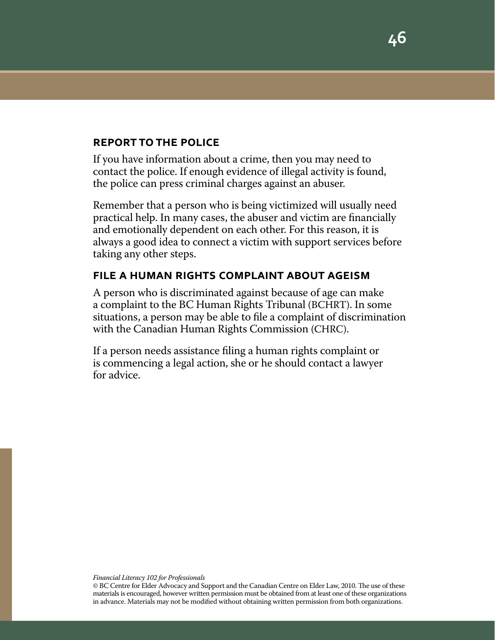#### **report to the police**

If you have information about a crime, then you may need to contact the police. If enough evidence of illegal activity is found, the police can press criminal charges against an abuser.

Remember that a person who is being victimized will usually need practical help. In many cases, the abuser and victim are financially and emotionally dependent on each other. For this reason, it is always a good idea to connect a victim with support services before taking any other steps.

# **file a human rights complaint about ageism**

A person who is discriminated against because of age can make a complaint to the BC Human Rights Tribunal (BCHRT). In some situations, a person may be able to file a complaint of discrimination with the Canadian Human Rights Commission (CHRC).

If a person needs assistance filing a human rights complaint or is commencing a legal action, she or he should contact a lawyer for advice.

<sup>©</sup> BC Centre for Elder Advocacy and Support and the Canadian Centre on Elder Law, 2010. The use of these materials is encouraged, however written permission must be obtained from at least one of these organizations in advance. Materials may not be modified without obtaining written permission from both organizations.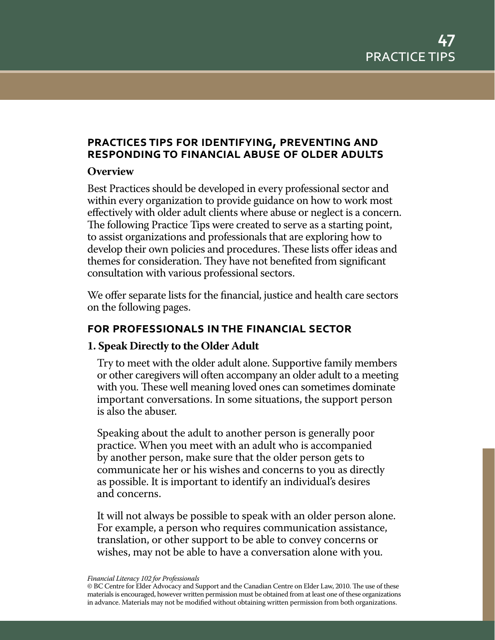# **practices tips for identifying, preventing and responding to financial abuse of older adults**

#### **Overview**

Best Practices should be developed in every professional sector and within every organization to provide guidance on how to work most effectively with older adult clients where abuse or neglect is a concern. The following Practice Tips were created to serve as a starting point, to assist organizations and professionals that are exploring how to develop their own policies and procedures. These lists offer ideas and themes for consideration. They have not benefited from significant consultation with various professional sectors.

We offer separate lists for the financial, justice and health care sectors on the following pages.

# **for professionals in the financial sector**

# **1. Speak Directly to the Older Adult**

Try to meet with the older adult alone. Supportive family members or other caregivers will often accompany an older adult to a meeting with you. These well meaning loved ones can sometimes dominate important conversations. In some situations, the support person is also the abuser.

Speaking about the adult to another person is generally poor practice. When you meet with an adult who is accompanied by another person, make sure that the older person gets to communicate her or his wishes and concerns to you as directly as possible. It is important to identify an individual's desires and concerns.

It will not always be possible to speak with an older person alone. For example, a person who requires communication assistance, translation, or other support to be able to convey concerns or wishes, may not be able to have a conversation alone with you.

*Financial Literacy 102 for Professionals*

<sup>©</sup> BC Centre for Elder Advocacy and Support and the Canadian Centre on Elder Law, 2010. The use of these materials is encouraged, however written permission must be obtained from at least one of these organizations in advance. Materials may not be modified without obtaining written permission from both organizations.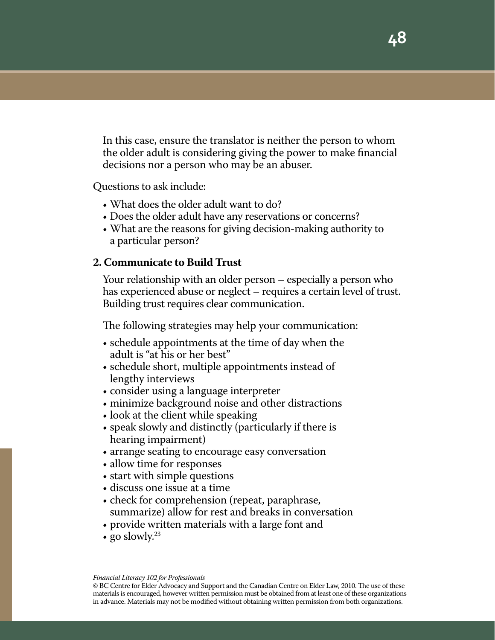In this case, ensure the translator is neither the person to whom the older adult is considering giving the power to make financial decisions nor a person who may be an abuser.

Questions to ask include:

- What does the older adult want to do?
- Does the older adult have any reservations or concerns?
- What are the reasons for giving decision-making authority to a particular person?

#### **2. Communicate to Build Trust**

Your relationship with an older person – especially a person who has experienced abuse or neglect – requires a certain level of trust. Building trust requires clear communication.

The following strategies may help your communication:

- schedule appointments at the time of day when the adult is "at his or her best"
- schedule short, multiple appointments instead of lengthy interviews
- consider using a language interpreter
- minimize background noise and other distractions
- look at the client while speaking
- • speak slowly and distinctly (particularly if there is hearing impairment)
- arrange seating to encourage easy conversation
- allow time for responses
- start with simple questions
- • discuss one issue at a time
- check for comprehension (repeat, paraphrase, summarize) allow for rest and breaks in conversation
- provide written materials with a large font and
- go slowly.<sup>23</sup>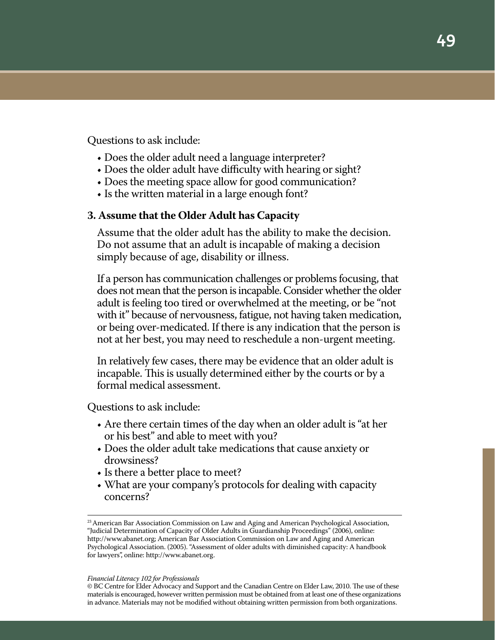Questions to ask include:

- Does the older adult need a language interpreter?
- Does the older adult have difficulty with hearing or sight?
- Does the meeting space allow for good communication?
- Is the written material in a large enough font?

#### **3. Assume that the Older Adult has Capacity**

Assume that the older adult has the ability to make the decision. Do not assume that an adult is incapable of making a decision simply because of age, disability or illness.

If a person has communication challenges or problems focusing, that does not mean that the person is incapable. Consider whether the older adult is feeling too tired or overwhelmed at the meeting, or be "not with it" because of nervousness, fatigue, not having taken medication, or being over-medicated. If there is any indication that the person is not at her best, you may need to reschedule a non-urgent meeting.

In relatively few cases, there may be evidence that an older adult is incapable. This is usually determined either by the courts or by a formal medical assessment.

Questions to ask include:

- Are there certain times of the day when an older adult is "at her or his best" and able to meet with you?
- Does the older adult take medications that cause anxiety or drowsiness?
- Is there a better place to meet?
- What are your company's protocols for dealing with capacity concerns?

<sup>&</sup>lt;sup>23</sup> American Bar Association Commission on Law and Aging and American Psychological Association, "Judicial Determination of Capacity of Older Adults in Guardianship Proceedings" (2006), online: http://www.abanet.org; American Bar Association Commission on Law and Aging and American Psychological Association. (2005). "Assessment of older adults with diminished capacity: A handbook for lawyers", online: http://www.abanet.org.

<sup>©</sup> BC Centre for Elder Advocacy and Support and the Canadian Centre on Elder Law, 2010. The use of these materials is encouraged, however written permission must be obtained from at least one of these organizations in advance. Materials may not be modified without obtaining written permission from both organizations.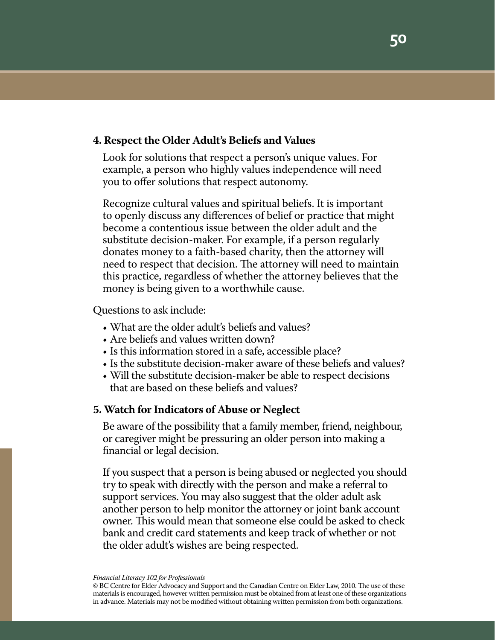#### **4. Respect the Older Adult's Beliefs and Values**

Look for solutions that respect a person's unique values. For example, a person who highly values independence will need you to offer solutions that respect autonomy.

Recognize cultural values and spiritual beliefs. It is important to openly discuss any differences of belief or practice that might become a contentious issue between the older adult and the substitute decision-maker. For example, if a person regularly donates money to a faith-based charity, then the attorney will need to respect that decision. The attorney will need to maintain this practice, regardless of whether the attorney believes that the money is being given to a worthwhile cause.

Questions to ask include:

- What are the older adult's beliefs and values?
- Are beliefs and values written down?
- Is this information stored in a safe, accessible place?
- Is the substitute decision-maker aware of these beliefs and values?
- Will the substitute decision-maker be able to respect decisions that are based on these beliefs and values?

#### **5. Watch for Indicators of Abuse or Neglect**

Be aware of the possibility that a family member, friend, neighbour, or caregiver might be pressuring an older person into making a financial or legal decision.

If you suspect that a person is being abused or neglected you should try to speak with directly with the person and make a referral to support services. You may also suggest that the older adult ask another person to help monitor the attorney or joint bank account owner. This would mean that someone else could be asked to check bank and credit card statements and keep track of whether or not the older adult's wishes are being respected.

<sup>©</sup> BC Centre for Elder Advocacy and Support and the Canadian Centre on Elder Law, 2010. The use of these materials is encouraged, however written permission must be obtained from at least one of these organizations in advance. Materials may not be modified without obtaining written permission from both organizations.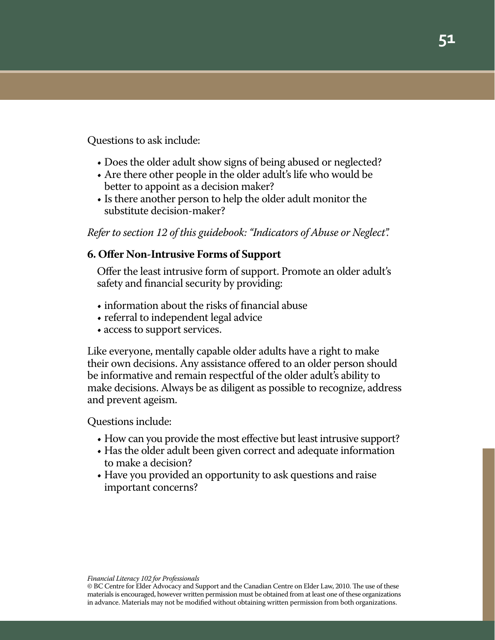Questions to ask include:

- Does the older adult show signs of being abused or neglected?
- Are there other people in the older adult's life who would be better to appoint as a decision maker?
- Is there another person to help the older adult monitor the substitute decision-maker?

*Refer to section 12 of this guidebook: "Indicators of Abuse or Neglect".*

# **6. Offer Non-Intrusive Forms of Support**

Offer the least intrusive form of support. Promote an older adult's safety and financial security by providing:

- $\bullet$  information about the risks of financial abuse
- referral to independent legal advice
- access to support services.

Like everyone, mentally capable older adults have a right to make their own decisions. Any assistance offered to an older person should be informative and remain respectful of the older adult's ability to make decisions. Always be as diligent as possible to recognize, address and prevent ageism.

Questions include:

- How can you provide the most effective but least intrusive support?
- Has the older adult been given correct and adequate information to make a decision?
- Have you provided an opportunity to ask questions and raise important concerns?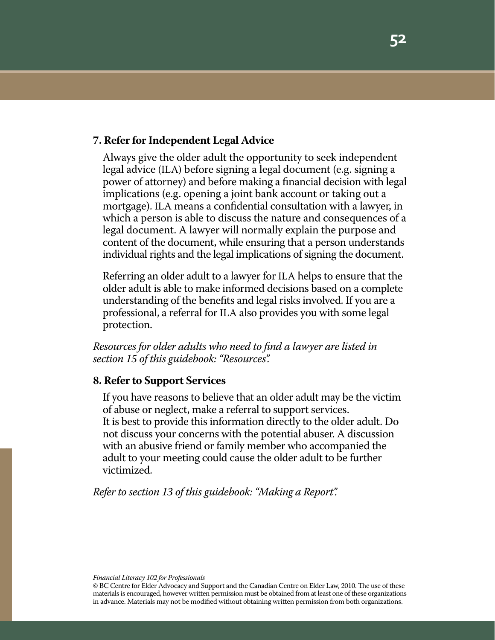#### **7. Refer for Independent Legal Advice**

Always give the older adult the opportunity to seek independent legal advice (ILA) before signing a legal document (e.g. signing a power of attorney) and before making a financial decision with legal implications (e.g. opening a joint bank account or taking out a mortgage). ILA means a confidential consultation with a lawyer, in which a person is able to discuss the nature and consequences of a legal document. A lawyer will normally explain the purpose and content of the document, while ensuring that a person understands individual rights and the legal implications of signing the document.

Referring an older adult to a lawyer for ILA helps to ensure that the older adult is able to make informed decisions based on a complete understanding of the benefits and legal risks involved. If you are a professional, a referral for ILA also provides you with some legal protection.

*Resources for older adults who need to find a lawyer are listed in section 15 of this guidebook: "Resources".*

#### **8. Refer to Support Services**

If you have reasons to believe that an older adult may be the victim of abuse or neglect, make a referral to support services. It is best to provide this information directly to the older adult. Do not discuss your concerns with the potential abuser. A discussion with an abusive friend or family member who accompanied the adult to your meeting could cause the older adult to be further victimized.

*Refer to section 13 of this guidebook: "Making a Report".*

*Financial Literacy 102 for Professionals*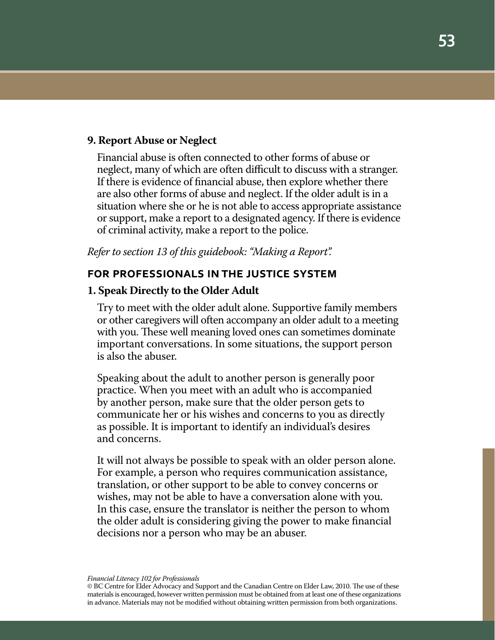#### **9. Report Abuse or Neglect**

Financial abuse is often connected to other forms of abuse or neglect, many of which are often difficult to discuss with a stranger. If there is evidence of financial abuse, then explore whether there are also other forms of abuse and neglect. If the older adult is in a situation where she or he is not able to access appropriate assistance or support, make a report to a designated agency. If there is evidence of criminal activity, make a report to the police.

*Refer to section 13 of this guidebook: "Making a Report".*

#### **for professionals in the justice system**

#### **1. Speak Directly to the Older Adult**

Try to meet with the older adult alone. Supportive family members or other caregivers will often accompany an older adult to a meeting with you. These well meaning loved ones can sometimes dominate important conversations. In some situations, the support person is also the abuser.

Speaking about the adult to another person is generally poor practice. When you meet with an adult who is accompanied by another person, make sure that the older person gets to communicate her or his wishes and concerns to you as directly as possible. It is important to identify an individual's desires and concerns.

It will not always be possible to speak with an older person alone. For example, a person who requires communication assistance, translation, or other support to be able to convey concerns or wishes, may not be able to have a conversation alone with you. In this case, ensure the translator is neither the person to whom the older adult is considering giving the power to make financial decisions nor a person who may be an abuser.

<sup>©</sup> BC Centre for Elder Advocacy and Support and the Canadian Centre on Elder Law, 2010. The use of these materials is encouraged, however written permission must be obtained from at least one of these organizations in advance. Materials may not be modified without obtaining written permission from both organizations.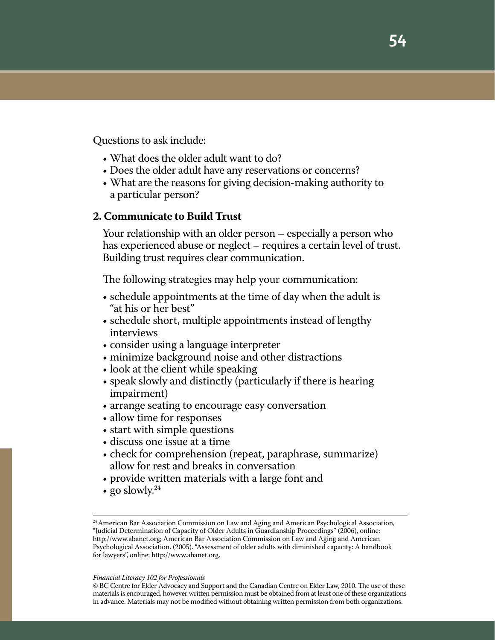Questions to ask include:

- What does the older adult want to do?
- Does the older adult have any reservations or concerns?
- What are the reasons for giving decision-making authority to a particular person?

#### **2. Communicate to Build Trust**

Your relationship with an older person – especially a person who has experienced abuse or neglect – requires a certain level of trust. Building trust requires clear communication.

The following strategies may help your communication:

- schedule appointments at the time of day when the adult is "at his or her best"
- • schedule short, multiple appointments instead of lengthy interviews
- consider using a language interpreter
- minimize background noise and other distractions
- $\bullet$  look at the client while speaking
- speak slowly and distinctly (particularly if there is hearing impairment)
- arrange seating to encourage easy conversation
- allow time for responses
- start with simple questions
- discuss one issue at a time
- check for comprehension (repeat, paraphrase, summarize) allow for rest and breaks in conversation
- provide written materials with a large font and
- go slowly.<sup>24</sup>

<sup>&</sup>lt;sup>24</sup> American Bar Association Commission on Law and Aging and American Psychological Association, "Judicial Determination of Capacity of Older Adults in Guardianship Proceedings" (2006), online: http://www.abanet.org; American Bar Association Commission on Law and Aging and American Psychological Association. (2005). "Assessment of older adults with diminished capacity: A handbook for lawyers", online: http://www.abanet.org.

<sup>©</sup> BC Centre for Elder Advocacy and Support and the Canadian Centre on Elder Law, 2010. The use of these materials is encouraged, however written permission must be obtained from at least one of these organizations in advance. Materials may not be modified without obtaining written permission from both organizations.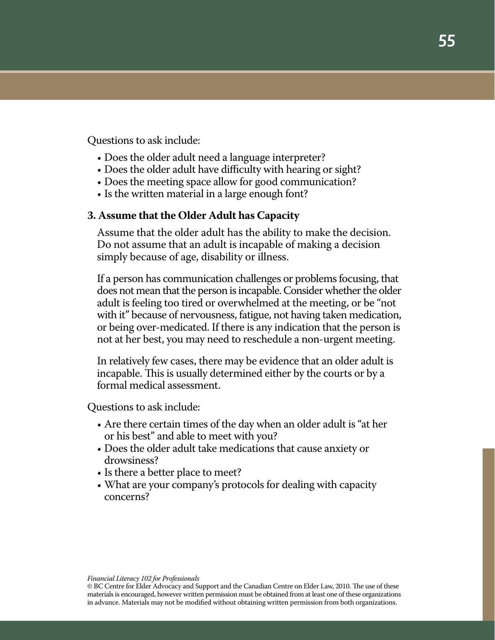Questions to ask include:

- Does the older adult need a language interpreter?
- Does the older adult have difficulty with hearing or sight?
- Does the meeting space allow for good communication?
- Is the written material in a large enough font?

#### **3. Assume that the Older Adult has Capacity**

Assume that the older adult has the ability to make the decision. Do not assume that an adult is incapable of making a decision simply because of age, disability or illness.

If a person has communication challenges or problems focusing, that does not mean that the person is incapable. Consider whether the older adult is feeling too tired or overwhelmed at the meeting, or be "not with it" because of nervousness, fatigue, not having taken medication, or being over-medicated. If there is any indication that the person is not at her best, you may need to reschedule a non-urgent meeting.

In relatively few cases, there may be evidence that an older adult is incapable. This is usually determined either by the courts or by a formal medical assessment.

Questions to ask include:

- Are there certain times of the day when an older adult is "at her or his best" and able to meet with you?
- Does the older adult take medications that cause anxiety or drowsiness?
- Is there a better place to meet?
- What are your company's protocols for dealing with capacity concerns?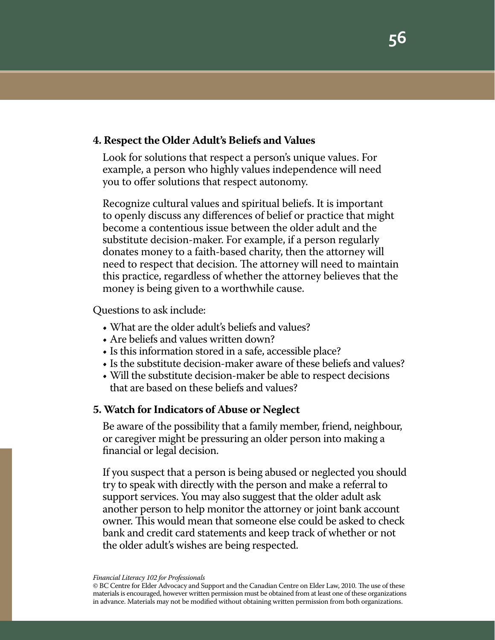#### **4. Respect the Older Adult's Beliefs and Values**

Look for solutions that respect a person's unique values. For example, a person who highly values independence will need you to offer solutions that respect autonomy.

Recognize cultural values and spiritual beliefs. It is important to openly discuss any differences of belief or practice that might become a contentious issue between the older adult and the substitute decision-maker. For example, if a person regularly donates money to a faith-based charity, then the attorney will need to respect that decision. The attorney will need to maintain this practice, regardless of whether the attorney believes that the money is being given to a worthwhile cause.

Questions to ask include:

- What are the older adult's beliefs and values?
- Are beliefs and values written down?
- Is this information stored in a safe, accessible place?
- Is the substitute decision-maker aware of these beliefs and values?
- Will the substitute decision-maker be able to respect decisions that are based on these beliefs and values?

#### **5. Watch for Indicators of Abuse or Neglect**

Be aware of the possibility that a family member, friend, neighbour, or caregiver might be pressuring an older person into making a financial or legal decision.

If you suspect that a person is being abused or neglected you should try to speak with directly with the person and make a referral to support services. You may also suggest that the older adult ask another person to help monitor the attorney or joint bank account owner. This would mean that someone else could be asked to check bank and credit card statements and keep track of whether or not the older adult's wishes are being respected.

<sup>©</sup> BC Centre for Elder Advocacy and Support and the Canadian Centre on Elder Law, 2010. The use of these materials is encouraged, however written permission must be obtained from at least one of these organizations in advance. Materials may not be modified without obtaining written permission from both organizations.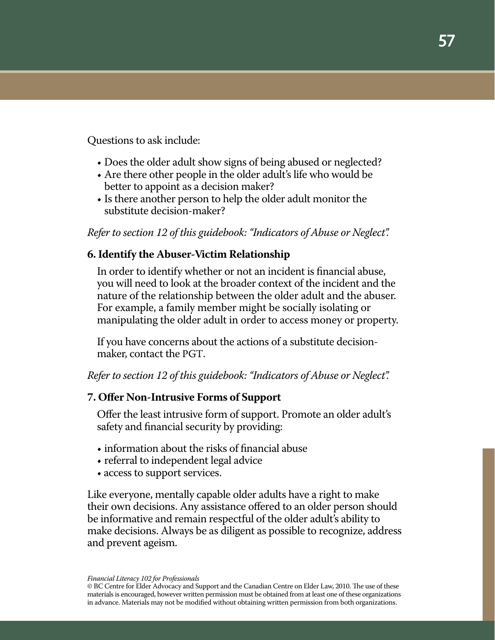Questions to ask include:

- Does the older adult show signs of being abused or neglected?
- Are there other people in the older adult's life who would be better to appoint as a decision maker?
- Is there another person to help the older adult monitor the substitute decision-maker?

*Refer to section 12 of this guidebook: "Indicators of Abuse or Neglect".*

# **6. Identify the Abuser-Victim Relationship**

In order to identify whether or not an incident is financial abuse, you will need to look at the broader context of the incident and the nature of the relationship between the older adult and the abuser. For example, a family member might be socially isolating or manipulating the older adult in order to access money or property.

If you have concerns about the actions of a substitute decisionmaker, contact the PGT.

*Refer to section 12 of this guidebook: "Indicators of Abuse or Neglect".*

#### **7. Offer Non-Intrusive Forms of Support**

Offer the least intrusive form of support. Promote an older adult's safety and financial security by providing:

- $\bullet$  information about the risks of financial abuse
- referral to independent legal advice
- access to support services.

Like everyone, mentally capable older adults have a right to make their own decisions. Any assistance offered to an older person should be informative and remain respectful of the older adult's ability to make decisions. Always be as diligent as possible to recognize, address and prevent ageism.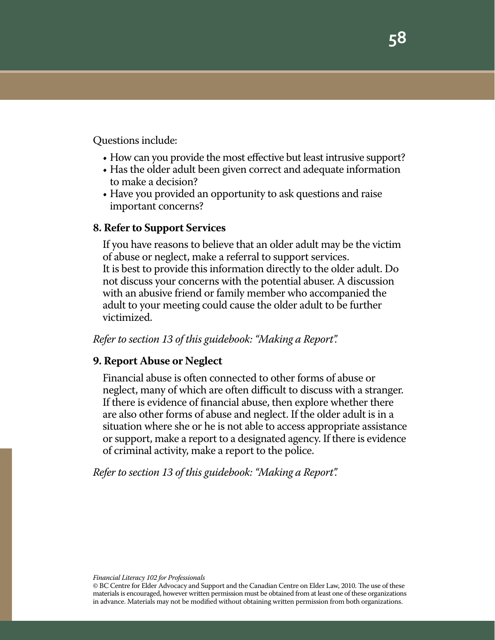Questions include:

- How can you provide the most effective but least intrusive support?
- Has the older adult been given correct and adequate information to make a decision?
- Have you provided an opportunity to ask questions and raise important concerns?

#### **8. Refer to Support Services**

If you have reasons to believe that an older adult may be the victim of abuse or neglect, make a referral to support services. It is best to provide this information directly to the older adult. Do not discuss your concerns with the potential abuser. A discussion with an abusive friend or family member who accompanied the adult to your meeting could cause the older adult to be further victimized.

#### *Refer to section 13 of this guidebook: "Making a Report".*

#### **9. Report Abuse or Neglect**

Financial abuse is often connected to other forms of abuse or neglect, many of which are often difficult to discuss with a stranger. If there is evidence of financial abuse, then explore whether there are also other forms of abuse and neglect. If the older adult is in a situation where she or he is not able to access appropriate assistance or support, make a report to a designated agency. If there is evidence of criminal activity, make a report to the police.

*Refer to section 13 of this guidebook: "Making a Report".*

*Financial Literacy 102 for Professionals*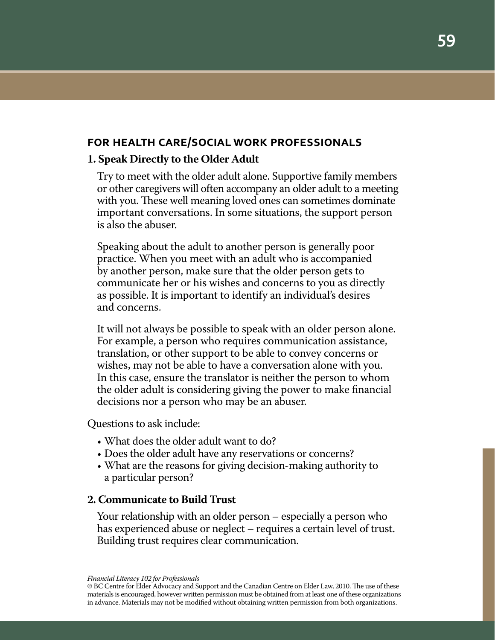## **for health care/social work professionals**

#### **1. Speak Directly to the Older Adult**

Try to meet with the older adult alone. Supportive family members or other caregivers will often accompany an older adult to a meeting with you. These well meaning loved ones can sometimes dominate important conversations. In some situations, the support person is also the abuser.

Speaking about the adult to another person is generally poor practice. When you meet with an adult who is accompanied by another person, make sure that the older person gets to communicate her or his wishes and concerns to you as directly as possible. It is important to identify an individual's desires and concerns.

It will not always be possible to speak with an older person alone. For example, a person who requires communication assistance, translation, or other support to be able to convey concerns or wishes, may not be able to have a conversation alone with you. In this case, ensure the translator is neither the person to whom the older adult is considering giving the power to make financial decisions nor a person who may be an abuser.

Questions to ask include:

- What does the older adult want to do?
- Does the older adult have any reservations or concerns?
- What are the reasons for giving decision-making authority to a particular person?

#### **2. Communicate to Build Trust**

Your relationship with an older person – especially a person who has experienced abuse or neglect – requires a certain level of trust. Building trust requires clear communication.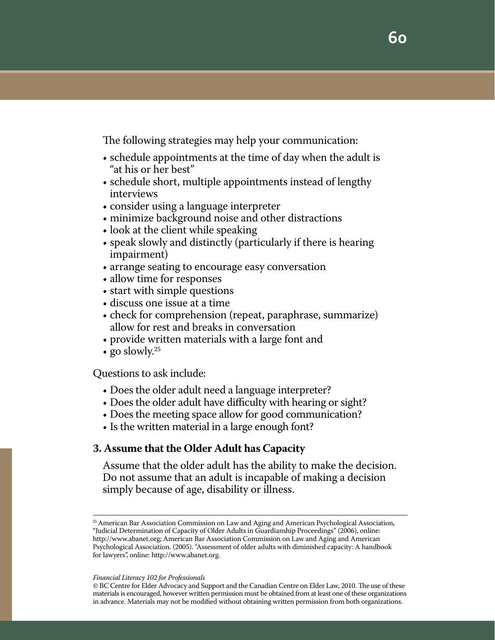The following strategies may help your communication:

- schedule appointments at the time of day when the adult is "at his or her best"
- schedule short, multiple appointments instead of lengthy interviews
- consider using a language interpreter
- minimize background noise and other distractions
- look at the client while speaking
- speak slowly and distinctly (particularly if there is hearing impairment)
- arrange seating to encourage easy conversation
- allow time for responses
- start with simple questions
- • discuss one issue at a time
- check for comprehension (repeat, paraphrase, summarize) allow for rest and breaks in conversation
- provide written materials with a large font and
- go slowly.<sup>25</sup>

Questions to ask include:

- Does the older adult need a language interpreter?
- Does the older adult have difficulty with hearing or sight?
- Does the meeting space allow for good communication?
- Is the written material in a large enough font?

#### **3. Assume that the Older Adult has Capacity**

Assume that the older adult has the ability to make the decision. Do not assume that an adult is incapable of making a decision simply because of age, disability or illness.

<sup>&</sup>lt;sup>25</sup> American Bar Association Commission on Law and Aging and American Psychological Association, "Judicial Determination of Capacity of Older Adults in Guardianship Proceedings" (2006), online: http://www.abanet.org; American Bar Association Commission on Law and Aging and American Psychological Association. (2005). "Assessment of older adults with diminished capacity: A handbook for lawyers", online: http://www.abanet.org.

<sup>©</sup> BC Centre for Elder Advocacy and Support and the Canadian Centre on Elder Law, 2010. The use of these materials is encouraged, however written permission must be obtained from at least one of these organizations in advance. Materials may not be modified without obtaining written permission from both organizations.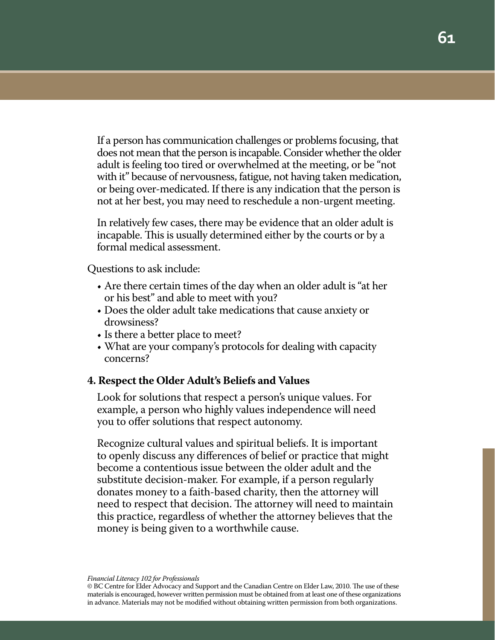If a person has communication challenges or problems focusing, that does not mean that the person is incapable. Consider whether the older adult is feeling too tired or overwhelmed at the meeting, or be "not with it" because of nervousness, fatigue, not having taken medication, or being over-medicated. If there is any indication that the person is not at her best, you may need to reschedule a non-urgent meeting.

In relatively few cases, there may be evidence that an older adult is incapable. This is usually determined either by the courts or by a formal medical assessment.

Questions to ask include:

- Are there certain times of the day when an older adult is "at her or his best" and able to meet with you?
- Does the older adult take medications that cause anxiety or drowsiness?
- Is there a better place to meet?
- What are your company's protocols for dealing with capacity concerns?

#### **4. Respect the Older Adult's Beliefs and Values**

Look for solutions that respect a person's unique values. For example, a person who highly values independence will need you to offer solutions that respect autonomy.

Recognize cultural values and spiritual beliefs. It is important to openly discuss any differences of belief or practice that might become a contentious issue between the older adult and the substitute decision-maker. For example, if a person regularly donates money to a faith-based charity, then the attorney will need to respect that decision. The attorney will need to maintain this practice, regardless of whether the attorney believes that the money is being given to a worthwhile cause.

<sup>©</sup> BC Centre for Elder Advocacy and Support and the Canadian Centre on Elder Law, 2010. The use of these materials is encouraged, however written permission must be obtained from at least one of these organizations in advance. Materials may not be modified without obtaining written permission from both organizations.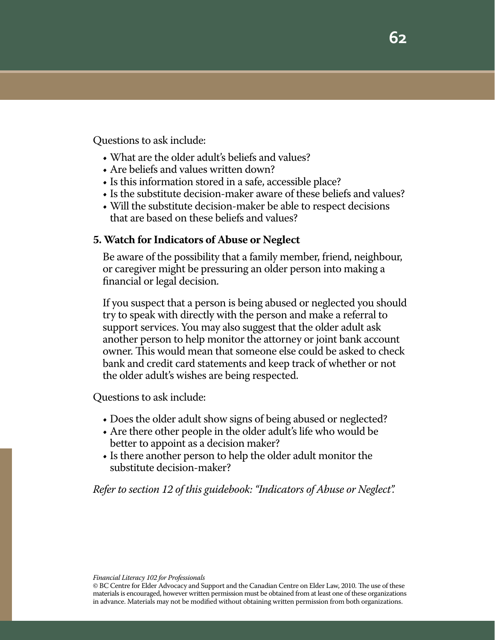Questions to ask include:

- What are the older adult's beliefs and values?
- Are beliefs and values written down?
- Is this information stored in a safe, accessible place?
- Is the substitute decision-maker aware of these beliefs and values?
- Will the substitute decision-maker be able to respect decisions that are based on these beliefs and values?

#### **5. Watch for Indicators of Abuse or Neglect**

Be aware of the possibility that a family member, friend, neighbour, or caregiver might be pressuring an older person into making a financial or legal decision.

If you suspect that a person is being abused or neglected you should try to speak with directly with the person and make a referral to support services. You may also suggest that the older adult ask another person to help monitor the attorney or joint bank account owner. This would mean that someone else could be asked to check bank and credit card statements and keep track of whether or not the older adult's wishes are being respected.

Questions to ask include:

- Does the older adult show signs of being abused or neglected?
- Are there other people in the older adult's life who would be better to appoint as a decision maker?
- Is there another person to help the older adult monitor the substitute decision-maker?

# *Refer to section 12 of this guidebook: "Indicators of Abuse or Neglect".*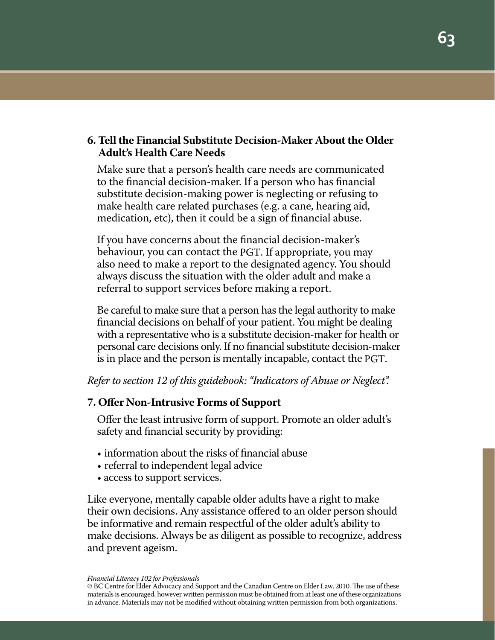## **6. Tell the Financial Substitute Decision-Maker About the Older Adult's Health Care Needs**

Make sure that a person's health care needs are communicated to the financial decision-maker. If a person who has financial substitute decision-making power is neglecting or refusing to make health care related purchases (e.g. a cane, hearing aid, medication, etc), then it could be a sign of financial abuse.

If you have concerns about the financial decision-maker's behaviour, you can contact the PGT. If appropriate, you may also need to make a report to the designated agency. You should always discuss the situation with the older adult and make a referral to support services before making a report.

Be careful to make sure that a person has the legal authority to make financial decisions on behalf of your patient. You might be dealing with a representative who is a substitute decision-maker for health or personal care decisions only. If no financial substitute decision-maker is in place and the person is mentally incapable, contact the PGT.

*Refer to section 12 of this guidebook: "Indicators of Abuse or Neglect".*

#### **7. Offer Non-Intrusive Forms of Support**

Offer the least intrusive form of support. Promote an older adult's safety and financial security by providing:

- information about the risks of financial abuse
- referral to independent legal advice
- access to support services.

Like everyone, mentally capable older adults have a right to make their own decisions. Any assistance offered to an older person should be informative and remain respectful of the older adult's ability to make decisions. Always be as diligent as possible to recognize, address and prevent ageism.

<sup>©</sup> BC Centre for Elder Advocacy and Support and the Canadian Centre on Elder Law, 2010. The use of these materials is encouraged, however written permission must be obtained from at least one of these organizations in advance. Materials may not be modified without obtaining written permission from both organizations.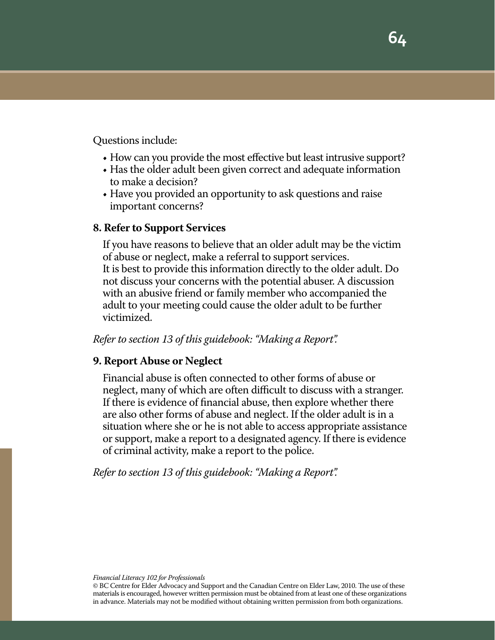Questions include:

- How can you provide the most effective but least intrusive support?
- Has the older adult been given correct and adequate information to make a decision?
- Have you provided an opportunity to ask questions and raise important concerns?

#### **8. Refer to Support Services**

If you have reasons to believe that an older adult may be the victim of abuse or neglect, make a referral to support services. It is best to provide this information directly to the older adult. Do not discuss your concerns with the potential abuser. A discussion with an abusive friend or family member who accompanied the adult to your meeting could cause the older adult to be further victimized.

#### *Refer to section 13 of this guidebook: "Making a Report".*

#### **9. Report Abuse or Neglect**

Financial abuse is often connected to other forms of abuse or neglect, many of which are often difficult to discuss with a stranger. If there is evidence of financial abuse, then explore whether there are also other forms of abuse and neglect. If the older adult is in a situation where she or he is not able to access appropriate assistance or support, make a report to a designated agency. If there is evidence of criminal activity, make a report to the police.

*Refer to section 13 of this guidebook: "Making a Report".*

*Financial Literacy 102 for Professionals*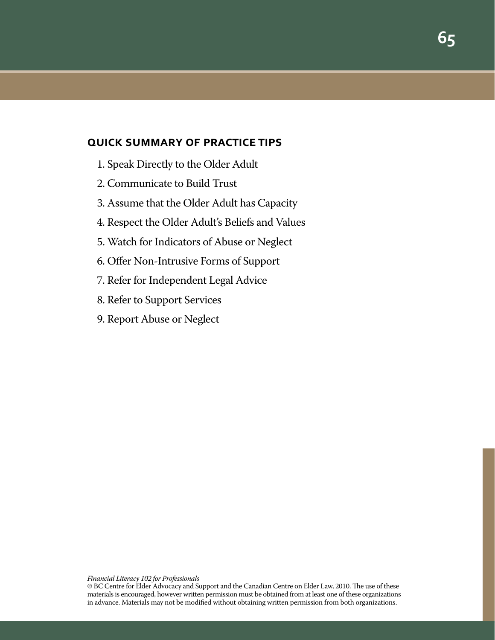#### **quick summary of practice tips**

- 1. Speak Directly to the Older Adult
- 2. Communicate to Build Trust
- 3. Assume that the Older Adult has Capacity
- 4. Respect the Older Adult's Beliefs and Values
- 5. Watch for Indicators of Abuse or Neglect
- 6. Offer Non-Intrusive Forms of Support
- 7. Refer for Independent Legal Advice
- 8. Refer to Support Services
- 9. Report Abuse or Neglect

<sup>©</sup> BC Centre for Elder Advocacy and Support and the Canadian Centre on Elder Law, 2010. The use of these materials is encouraged, however written permission must be obtained from at least one of these organizations in advance. Materials may not be modified without obtaining written permission from both organizations.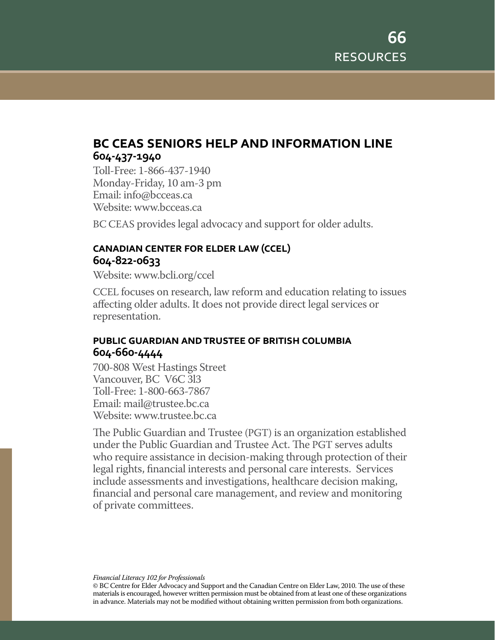# **bc ceas seniors help and information line 604-437-1940**

Toll-Free: 1-866-437-1940 Monday-Friday, 10 am-3 pm Email: info@bcceas.ca Website: www.bcceas.ca

BC CEAS provides legal advocacy and support for older adults.

# **canadian center for elder law (ccel) 604-822-0633**

Website: www.bcli.org/ccel

CCEL focuses on research, law reform and education relating to issues affecting older adults. It does not provide direct legal services or representation.

# **public guardian and trustee of british columbia 604-660-4444**

700-808 West Hastings Street Vancouver, BC V6C 3l3 Toll-Free: 1-800-663-7867 Email: mail@trustee.bc.ca Website: www.trustee.bc.ca

The Public Guardian and Trustee (PGT) is an organization established under the Public Guardian and Trustee Act. The PGT serves adults who require assistance in decision-making through protection of their legal rights, financial interests and personal care interests. Services include assessments and investigations, healthcare decision making, financial and personal care management, and review and monitoring of private committees.

*Financial Literacy 102 for Professionals*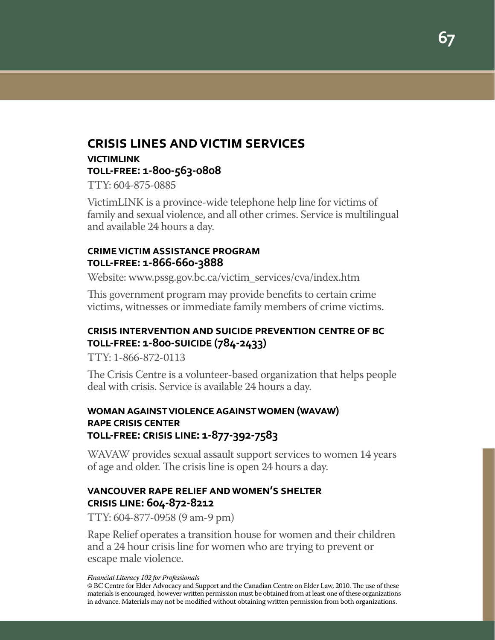# **crisis lines and victim services**

**victimlink toll-free: 1-800-563-0808**

TTY: 604-875-0885

VictimLINK is a province-wide telephone help line for victims of family and sexual violence, and all other crimes. Service is multilingual and available 24 hours a day.

#### **crime victim assistance program toll-free: 1-866-660-3888**

Website: www.pssg.gov.bc.ca/victim\_services/cva/index.htm

This government program may provide benefits to certain crime victims, witnesses or immediate family members of crime victims.

# **crisis intervention and suicide prevention centre of bc toll-free: 1-800-suicide (784-2433)**

TTY: 1-866-872-0113

The Crisis Centre is a volunteer-based organization that helps people deal with crisis. Service is available 24 hours a day.

# **woman against violence against women (wavaw) rape crisis center toll-free: crisis line: 1-877-392-7583**

WAVAW provides sexual assault support services to women 14 years of age and older. The crisis line is open 24 hours a day.

# **vancouver rape relief and women's shelter crisis line: 604-872-8212**

TTY: 604-877-0958 (9 am-9 pm)

Rape Relief operates a transition house for women and their children and a 24 hour crisis line for women who are trying to prevent or escape male violence.

*Financial Literacy 102 for Professionals*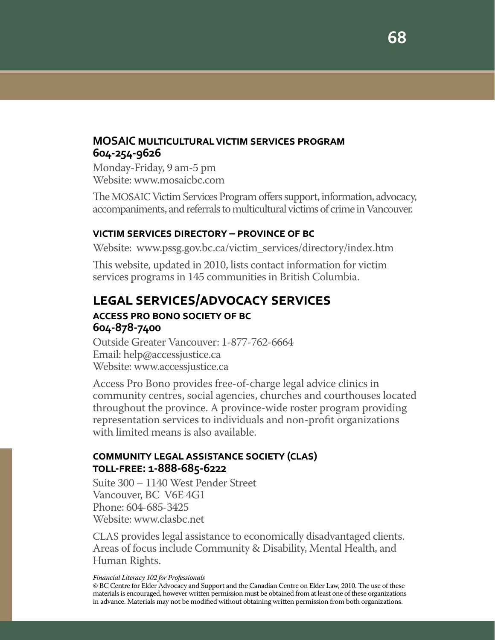# **MOSAIC multicultural victim services program 604-254-9626**

Monday-Friday, 9 am-5 pm Website: www.mosaicbc.com

The MOSAIC Victim Services Program offers support, information, advocacy, accompaniments, and referrals to multicultural victims of crime in Vancouver.

# **victim services directory – province of bc**

Website: www.pssg.gov.bc.ca/victim\_services/directory/index.htm

This website, updated in 2010, lists contact information for victim services programs in 145 communities in British Columbia.

# **legal services/advocacy services**

#### **access pro bono society of bc 604-878-7400**

Outside Greater Vancouver: 1-877-762-6664 Email: help@accessjustice.ca Website: www.accessjustice.ca

Access Pro Bono provides free-of-charge legal advice clinics in community centres, social agencies, churches and courthouses located throughout the province. A province-wide roster program providing representation services to individuals and non-profit organizations with limited means is also available.

# **community legal assistance society (clas) toll-free: 1-888-685-6222**

Suite 300 – 1140 West Pender Street Vancouver, BC V6E 4G1 Phone: 604-685-3425 Website: www.clasbc.net

CLAS provides legal assistance to economically disadvantaged clients. Areas of focus include Community & Disability, Mental Health, and Human Rights.

*Financial Literacy 102 for Professionals*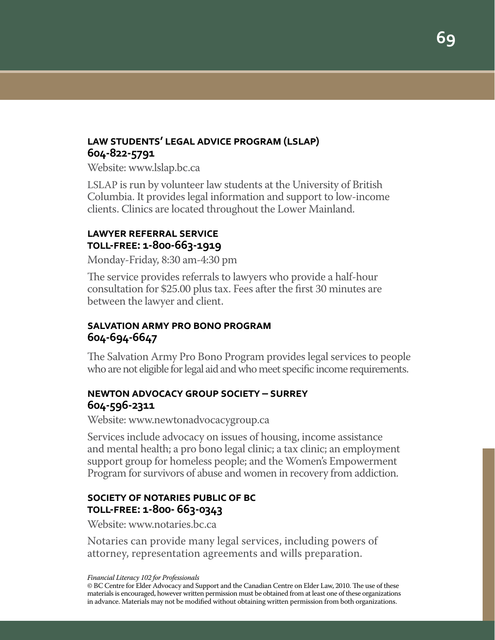# **law students' legal advice program (lslap) 604-822-5791**

Website: www.lslap.bc.ca

LSLAP is run by volunteer law students at the University of British Columbia. It provides legal information and support to low-income clients. Clinics are located throughout the Lower Mainland.

# **lawyer referral service toll-free: 1-800-663-1919**

Monday-Friday, 8:30 am-4:30 pm

The service provides referrals to lawyers who provide a half-hour consultation for \$25.00 plus tax. Fees after the first 30 minutes are between the lawyer and client.

# **salvation army pro bono program 604-694-6647**

The Salvation Army Pro Bono Program provides legal services to people who are not eligible for legal aid and who meet specific income requirements.

# **newton advocacy group society – surrey 604-596-2311**

Website: www.newtonadvocacygroup.ca

Services include advocacy on issues of housing, income assistance and mental health; a pro bono legal clinic; a tax clinic; an employment support group for homeless people; and the Women's Empowerment Program for survivors of abuse and women in recovery from addiction.

# **society of notaries public of bc toll-free: 1-800- 663-0343**

Website: www.notaries.bc.ca

Notaries can provide many legal services, including powers of attorney, representation agreements and wills preparation.

*Financial Literacy 102 for Professionals*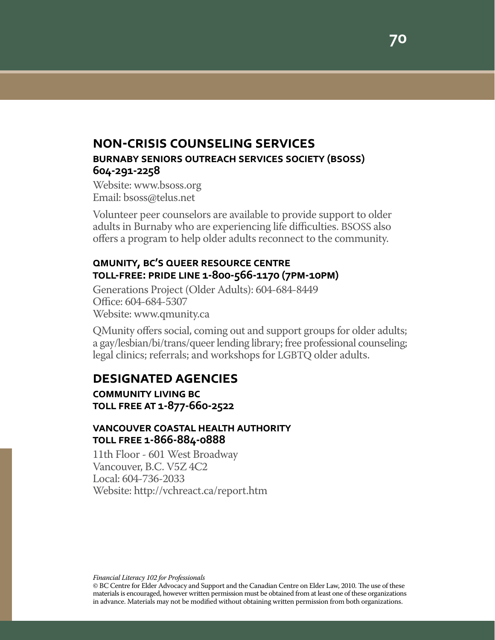# **non-crisis counseling services burnaby seniors outreach services society (bsoss) 604-291-2258**

Website: www.bsoss.org Email: bsoss@telus.net

Volunteer peer counselors are available to provide support to older adults in Burnaby who are experiencing life difficulties. BSOSS also offers a program to help older adults reconnect to the community.

## **qmunity, bc's queer resource centre toll-free: pride line 1-800-566-1170 (7pm-10pm)**

Generations Project (Older Adults): 604-684-8449 Office: 604-684-5307 Website: www.qmunity.ca

QMunity offers social, coming out and support groups for older adults; a gay/lesbian/bi/trans/queer lending library; free professional counseling; legal clinics; referrals; and workshops for LGBTQ older adults.

# **designated agencies**

**community living bc toll free at 1-877-660-2522**

#### **vancouver coastal health authority toll free 1-866-884-0888**

11th Floor - 601 West Broadway Vancouver, B.C. V5Z 4C2 Local: 604-736-2033 Website: http://vchreact.ca/report.htm

*Financial Literacy 102 for Professionals*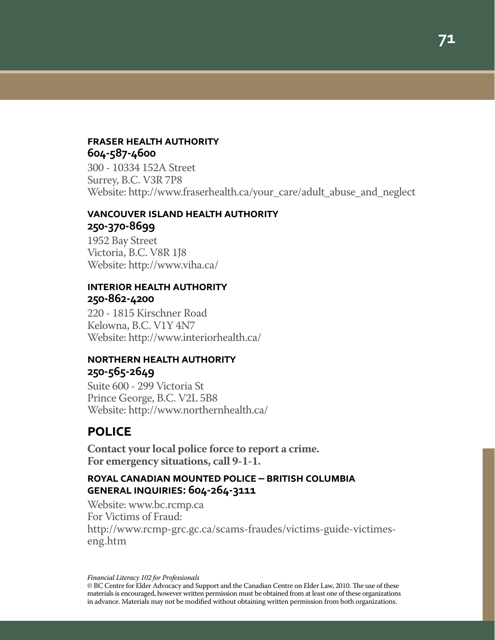#### **fraser health authority 604-587-4600**

300 - 10334 152A Street Surrey, B.C. V3R 7P8 Website: http://www.fraserhealth.ca/your\_care/adult\_abuse\_and\_neglect

# **vancouver island health authority 250-370-8699**

1952 Bay Street Victoria, B.C. V8R 1J8 Website: http://www.viha.ca/

## **interior health authority 250-862-4200**

220 - 1815 Kirschner Road Kelowna, B.C. V1Y 4N7 Website: http://www.interiorhealth.ca/

# **northern health authority 250-565-2649**

Suite 600 - 299 Victoria St Prince George, B.C. V2L 5B8 Website: http://www.northernhealth.ca/

# **police**

**Contact your local police force to report a crime. For emergency situations, call 9-1-1.**

# **royal canadian mounted police – british columbia general inquiries: 604-264-3111**

Website: www.bc.rcmp.ca For Victims of Fraud: http://www.rcmp-grc.gc.ca/scams-fraudes/victims-guide-victimeseng.htm

*Financial Literacy 102 for Professionals*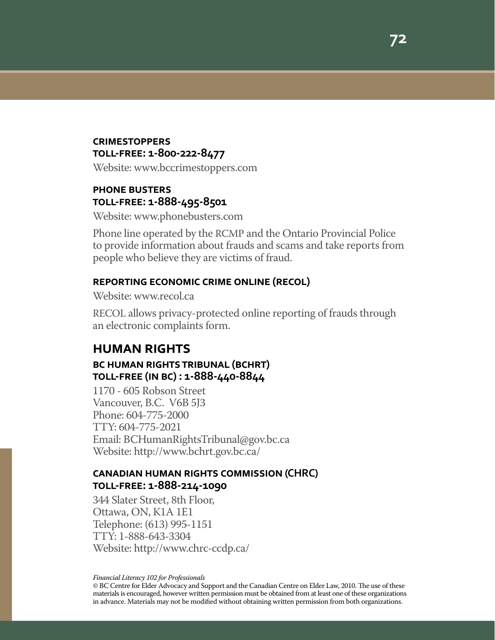#### **crimestoppers toll-free: 1-800-222-8477**

Website: www.bccrimestoppers.com

## **phone busters toll-free: 1-888-495-8501**

Website: www.phonebusters.com

Phone line operated by the RCMP and the Ontario Provincial Police to provide information about frauds and scams and take reports from people who believe they are victims of fraud.

#### **reporting economic crime online (recol)**

Website: www.recol.ca

RECOL allows privacy-protected online reporting of frauds through an electronic complaints form.

# **human rights bc human rights tribunal (bchrt) toll-free (in bc) : 1-888-440-8844**

1170 - 605 Robson Street Vancouver, B.C. V6B 5J3 Phone: 604-775-2000 TTY: 604-775-2021 Email: BCHumanRightsTribunal@gov.bc.ca Website: http://www.bchrt.gov.bc.ca/

#### **canadian human rights commission (CHRC) toll-free: 1-888-214-1090**

344 Slater Street, 8th Floor, Ottawa, ON, K1A 1E1 Telephone: (613) 995-1151 TTY: 1-888-643-3304 Website: http://www.chrc-ccdp.ca/

*Financial Literacy 102 for Professionals*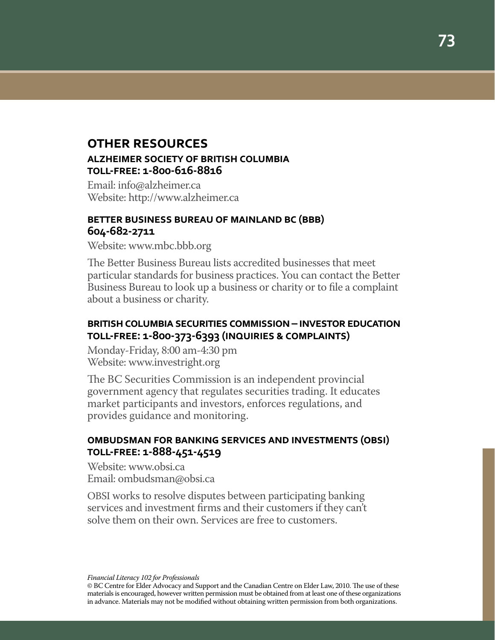# **other resources alzheimer society of british columbia toll-free: 1-800-616-8816**

Email: info@alzheimer.ca Website: http://www.alzheimer.ca

#### **better business bureau of mainland bc (bbb) 604-682-2711**

Website: www.mbc.bbb.org

The Better Business Bureau lists accredited businesses that meet particular standards for business practices. You can contact the Better Business Bureau to look up a business or charity or to file a complaint about a business or charity.

# **british columbia securities commission – investor education toll-free: 1-800-373-6393 (inquiries & complaints)**

Monday-Friday, 8:00 am-4:30 pm Website: www.investright.org

The BC Securities Commission is an independent provincial government agency that regulates securities trading. It educates market participants and investors, enforces regulations, and provides guidance and monitoring.

# **ombudsman for banking services and investments (obsi) toll-free: 1-888-451-4519**

Website: www.obsi.ca Email: ombudsman@obsi.ca

OBSI works to resolve disputes between participating banking services and investment firms and their customers if they can't solve them on their own. Services are free to customers.

*Financial Literacy 102 for Professionals*

© BC Centre for Elder Advocacy and Support and the Canadian Centre on Elder Law, 2010. The use of these materials is encouraged, however written permission must be obtained from at least one of these organizations in advance. Materials may not be modified without obtaining written permission from both organizations.